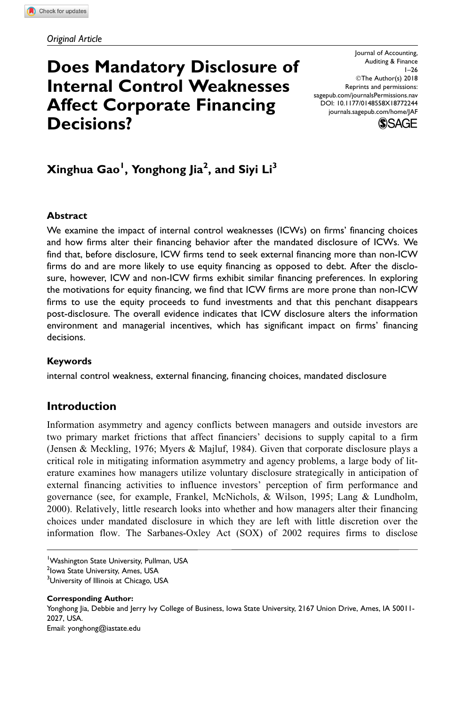# Does Mandatory Disclosure of Internal Control Weaknesses Affect Corporate Financing Decisions?

Journal of Accounting, Auditing & Finance  $1 - 26$ ©The Author(s) 2018 Reprints and permissions: sagepub.com/journalsPermissions.nav DOI: 10.1177/0148558X18772244 journals.sagepub.com/home/JAF



 $\bm{\mathsf{X}}$ inghua Gao $^{\mathsf{I}}$ ,  $\bm{\mathsf{Y}}$ onghong Jia $^{\mathsf{2}}$ , and Siyi Li $^{\mathsf{3}}$ 

#### Abstract

We examine the impact of internal control weaknesses (ICWs) on firms' financing choices and how firms alter their financing behavior after the mandated disclosure of ICWs. We find that, before disclosure, ICW firms tend to seek external financing more than non-ICW firms do and are more likely to use equity financing as opposed to debt. After the disclosure, however, ICW and non-ICW firms exhibit similar financing preferences. In exploring the motivations for equity financing, we find that ICW firms are more prone than non-ICW firms to use the equity proceeds to fund investments and that this penchant disappears post-disclosure. The overall evidence indicates that ICW disclosure alters the information environment and managerial incentives, which has significant impact on firms' financing decisions.

#### Keywords

internal control weakness, external financing, financing choices, mandated disclosure

## Introduction

Information asymmetry and agency conflicts between managers and outside investors are two primary market frictions that affect financiers' decisions to supply capital to a firm (Jensen & Meckling, 1976; Myers & Majluf, 1984). Given that corporate disclosure plays a critical role in mitigating information asymmetry and agency problems, a large body of literature examines how managers utilize voluntary disclosure strategically in anticipation of external financing activities to influence investors' perception of firm performance and governance (see, for example, Frankel, McNichols, & Wilson, 1995; Lang & Lundholm, 2000). Relatively, little research looks into whether and how managers alter their financing choices under mandated disclosure in which they are left with little discretion over the information flow. The Sarbanes-Oxley Act (SOX) of 2002 requires firms to disclose

Corresponding Author: Yonghong Jia, Debbie and Jerry Ivy College of Business, Iowa State University, 2167 Union Drive, Ames, IA 50011-2027, USA. Email: yonghong@iastate.edu

<sup>&</sup>lt;sup>1</sup>Washington State University, Pullman, USA

<sup>&</sup>lt;sup>2</sup>lowa State University, Ames, USA

<sup>&</sup>lt;sup>3</sup>University of Illinois at Chicago, USA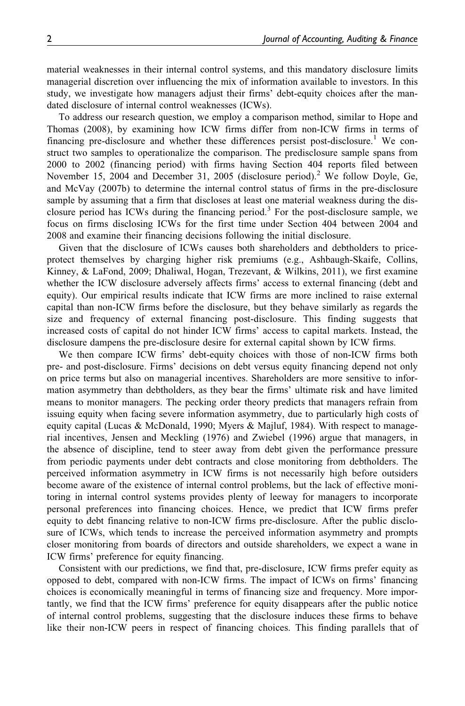material weaknesses in their internal control systems, and this mandatory disclosure limits managerial discretion over influencing the mix of information available to investors. In this study, we investigate how managers adjust their firms' debt-equity choices after the mandated disclosure of internal control weaknesses (ICWs).

To address our research question, we employ a comparison method, similar to Hope and Thomas (2008), by examining how ICW firms differ from non-ICW firms in terms of financing pre-disclosure and whether these differences persist post-disclosure.<sup>1</sup> We construct two samples to operationalize the comparison. The predisclosure sample spans from 2000 to 2002 (financing period) with firms having Section 404 reports filed between November 15, 2004 and December 31, 2005 (disclosure period).<sup>2</sup> We follow Doyle, Ge, and McVay (2007b) to determine the internal control status of firms in the pre-disclosure sample by assuming that a firm that discloses at least one material weakness during the disclosure period has ICWs during the financing period.<sup>3</sup> For the post-disclosure sample, we focus on firms disclosing ICWs for the first time under Section 404 between 2004 and 2008 and examine their financing decisions following the initial disclosure.

Given that the disclosure of ICWs causes both shareholders and debtholders to priceprotect themselves by charging higher risk premiums (e.g., Ashbaugh-Skaife, Collins, Kinney, & LaFond, 2009; Dhaliwal, Hogan, Trezevant, & Wilkins, 2011), we first examine whether the ICW disclosure adversely affects firms' access to external financing (debt and equity). Our empirical results indicate that ICW firms are more inclined to raise external capital than non-ICW firms before the disclosure, but they behave similarly as regards the size and frequency of external financing post-disclosure. This finding suggests that increased costs of capital do not hinder ICW firms' access to capital markets. Instead, the disclosure dampens the pre-disclosure desire for external capital shown by ICW firms.

We then compare ICW firms' debt-equity choices with those of non-ICW firms both pre- and post-disclosure. Firms' decisions on debt versus equity financing depend not only on price terms but also on managerial incentives. Shareholders are more sensitive to information asymmetry than debtholders, as they bear the firms' ultimate risk and have limited means to monitor managers. The pecking order theory predicts that managers refrain from issuing equity when facing severe information asymmetry, due to particularly high costs of equity capital (Lucas & McDonald, 1990; Myers & Majluf, 1984). With respect to managerial incentives, Jensen and Meckling (1976) and Zwiebel (1996) argue that managers, in the absence of discipline, tend to steer away from debt given the performance pressure from periodic payments under debt contracts and close monitoring from debtholders. The perceived information asymmetry in ICW firms is not necessarily high before outsiders become aware of the existence of internal control problems, but the lack of effective monitoring in internal control systems provides plenty of leeway for managers to incorporate personal preferences into financing choices. Hence, we predict that ICW firms prefer equity to debt financing relative to non-ICW firms pre-disclosure. After the public disclosure of ICWs, which tends to increase the perceived information asymmetry and prompts closer monitoring from boards of directors and outside shareholders, we expect a wane in ICW firms' preference for equity financing.

Consistent with our predictions, we find that, pre-disclosure, ICW firms prefer equity as opposed to debt, compared with non-ICW firms. The impact of ICWs on firms' financing choices is economically meaningful in terms of financing size and frequency. More importantly, we find that the ICW firms' preference for equity disappears after the public notice of internal control problems, suggesting that the disclosure induces these firms to behave like their non-ICW peers in respect of financing choices. This finding parallels that of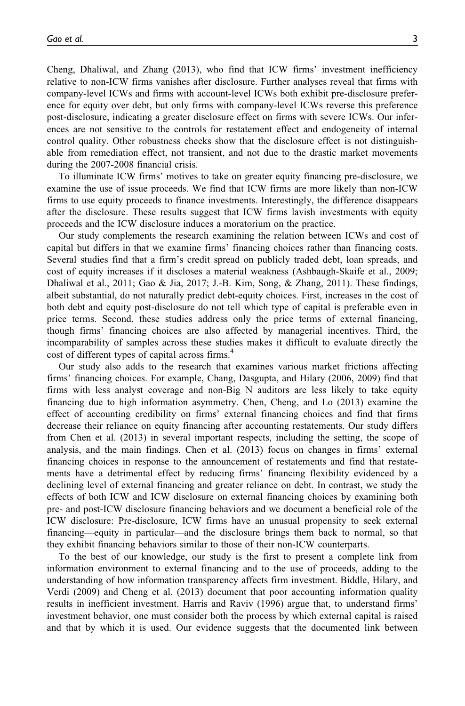Cheng, Dhaliwal, and Zhang (2013), who find that ICW firms' investment inefficiency relative to non-ICW firms vanishes after disclosure. Further analyses reveal that firms with company-level ICWs and firms with account-level ICWs both exhibit pre-disclosure preference for equity over debt, but only firms with company-level ICWs reverse this preference post-disclosure, indicating a greater disclosure effect on firms with severe ICWs. Our inferences are not sensitive to the controls for restatement effect and endogeneity of internal control quality. Other robustness checks show that the disclosure effect is not distinguishable from remediation effect, not transient, and not due to the drastic market movements during the 2007-2008 financial crisis.

To illuminate ICW firms' motives to take on greater equity financing pre-disclosure, we examine the use of issue proceeds. We find that ICW firms are more likely than non-ICW firms to use equity proceeds to finance investments. Interestingly, the difference disappears after the disclosure. These results suggest that ICW firms lavish investments with equity proceeds and the ICW disclosure induces a moratorium on the practice.

Our study complements the research examining the relation between ICWs and cost of capital but differs in that we examine firms' financing choices rather than financing costs. Several studies find that a firm's credit spread on publicly traded debt, loan spreads, and cost of equity increases if it discloses a material weakness (Ashbaugh-Skaife et al., 2009; Dhaliwal et al., 2011; Gao & Jia, 2017; J.-B. Kim, Song, & Zhang, 2011). These findings, albeit substantial, do not naturally predict debt-equity choices. First, increases in the cost of both debt and equity post-disclosure do not tell which type of capital is preferable even in price terms. Second, these studies address only the price terms of external financing, though firms' financing choices are also affected by managerial incentives. Third, the incomparability of samples across these studies makes it difficult to evaluate directly the cost of different types of capital across firms.<sup>4</sup>

Our study also adds to the research that examines various market frictions affecting firms' financing choices. For example, Chang, Dasgupta, and Hilary (2006, 2009) find that firms with less analyst coverage and non-Big N auditors are less likely to take equity financing due to high information asymmetry. Chen, Cheng, and Lo (2013) examine the effect of accounting credibility on firms' external financing choices and find that firms decrease their reliance on equity financing after accounting restatements. Our study differs from Chen et al. (2013) in several important respects, including the setting, the scope of analysis, and the main findings. Chen et al. (2013) focus on changes in firms' external financing choices in response to the announcement of restatements and find that restatements have a detrimental effect by reducing firms' financing flexibility evidenced by a declining level of external financing and greater reliance on debt. In contrast, we study the effects of both ICW and ICW disclosure on external financing choices by examining both pre- and post-ICW disclosure financing behaviors and we document a beneficial role of the ICW disclosure: Pre-disclosure, ICW firms have an unusual propensity to seek external financing—equity in particular—and the disclosure brings them back to normal, so that they exhibit financing behaviors similar to those of their non-ICW counterparts.

To the best of our knowledge, our study is the first to present a complete link from information environment to external financing and to the use of proceeds, adding to the understanding of how information transparency affects firm investment. Biddle, Hilary, and Verdi (2009) and Cheng et al. (2013) document that poor accounting information quality results in inefficient investment. Harris and Raviv (1996) argue that, to understand firms' investment behavior, one must consider both the process by which external capital is raised and that by which it is used. Our evidence suggests that the documented link between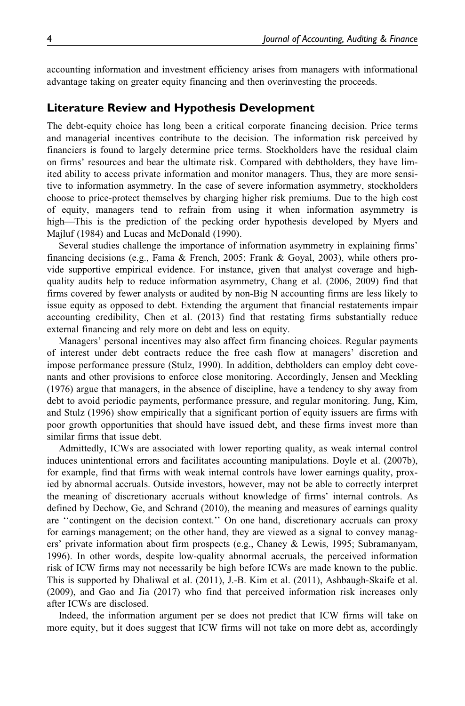accounting information and investment efficiency arises from managers with informational advantage taking on greater equity financing and then overinvesting the proceeds.

#### Literature Review and Hypothesis Development

The debt-equity choice has long been a critical corporate financing decision. Price terms and managerial incentives contribute to the decision. The information risk perceived by financiers is found to largely determine price terms. Stockholders have the residual claim on firms' resources and bear the ultimate risk. Compared with debtholders, they have limited ability to access private information and monitor managers. Thus, they are more sensitive to information asymmetry. In the case of severe information asymmetry, stockholders choose to price-protect themselves by charging higher risk premiums. Due to the high cost of equity, managers tend to refrain from using it when information asymmetry is high—This is the prediction of the pecking order hypothesis developed by Myers and Majluf (1984) and Lucas and McDonald (1990).

Several studies challenge the importance of information asymmetry in explaining firms' financing decisions (e.g., Fama & French, 2005; Frank & Goyal, 2003), while others provide supportive empirical evidence. For instance, given that analyst coverage and highquality audits help to reduce information asymmetry, Chang et al. (2006, 2009) find that firms covered by fewer analysts or audited by non-Big N accounting firms are less likely to issue equity as opposed to debt. Extending the argument that financial restatements impair accounting credibility, Chen et al. (2013) find that restating firms substantially reduce external financing and rely more on debt and less on equity.

Managers' personal incentives may also affect firm financing choices. Regular payments of interest under debt contracts reduce the free cash flow at managers' discretion and impose performance pressure (Stulz, 1990). In addition, debtholders can employ debt covenants and other provisions to enforce close monitoring. Accordingly, Jensen and Meckling (1976) argue that managers, in the absence of discipline, have a tendency to shy away from debt to avoid periodic payments, performance pressure, and regular monitoring. Jung, Kim, and Stulz (1996) show empirically that a significant portion of equity issuers are firms with poor growth opportunities that should have issued debt, and these firms invest more than similar firms that issue debt.

Admittedly, ICWs are associated with lower reporting quality, as weak internal control induces unintentional errors and facilitates accounting manipulations. Doyle et al. (2007b), for example, find that firms with weak internal controls have lower earnings quality, proxied by abnormal accruals. Outside investors, however, may not be able to correctly interpret the meaning of discretionary accruals without knowledge of firms' internal controls. As defined by Dechow, Ge, and Schrand (2010), the meaning and measures of earnings quality are ''contingent on the decision context.'' On one hand, discretionary accruals can proxy for earnings management; on the other hand, they are viewed as a signal to convey managers' private information about firm prospects (e.g., Chaney & Lewis, 1995; Subramanyam, 1996). In other words, despite low-quality abnormal accruals, the perceived information risk of ICW firms may not necessarily be high before ICWs are made known to the public. This is supported by Dhaliwal et al. (2011), J.-B. Kim et al. (2011), Ashbaugh-Skaife et al. (2009), and Gao and Jia (2017) who find that perceived information risk increases only after ICWs are disclosed.

Indeed, the information argument per se does not predict that ICW firms will take on more equity, but it does suggest that ICW firms will not take on more debt as, accordingly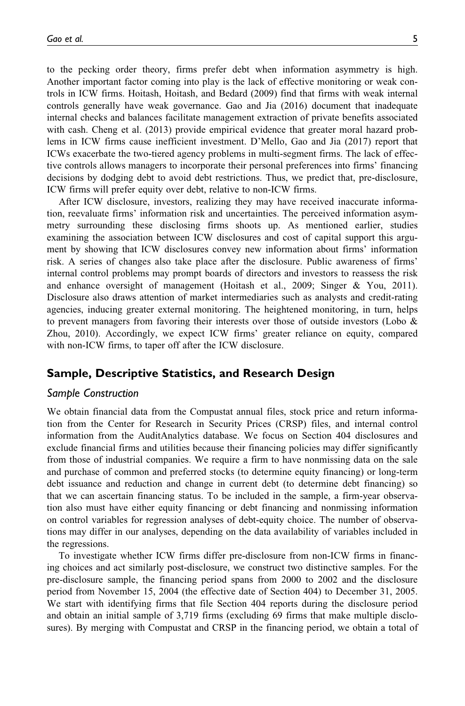to the pecking order theory, firms prefer debt when information asymmetry is high. Another important factor coming into play is the lack of effective monitoring or weak controls in ICW firms. Hoitash, Hoitash, and Bedard (2009) find that firms with weak internal controls generally have weak governance. Gao and Jia (2016) document that inadequate internal checks and balances facilitate management extraction of private benefits associated with cash. Cheng et al. (2013) provide empirical evidence that greater moral hazard problems in ICW firms cause inefficient investment. D'Mello, Gao and Jia (2017) report that ICWs exacerbate the two-tiered agency problems in multi-segment firms. The lack of effective controls allows managers to incorporate their personal preferences into firms' financing decisions by dodging debt to avoid debt restrictions. Thus, we predict that, pre-disclosure, ICW firms will prefer equity over debt, relative to non-ICW firms.

After ICW disclosure, investors, realizing they may have received inaccurate information, reevaluate firms' information risk and uncertainties. The perceived information asymmetry surrounding these disclosing firms shoots up. As mentioned earlier, studies examining the association between ICW disclosures and cost of capital support this argument by showing that ICW disclosures convey new information about firms' information risk. A series of changes also take place after the disclosure. Public awareness of firms' internal control problems may prompt boards of directors and investors to reassess the risk and enhance oversight of management (Hoitash et al., 2009; Singer & You, 2011). Disclosure also draws attention of market intermediaries such as analysts and credit-rating agencies, inducing greater external monitoring. The heightened monitoring, in turn, helps to prevent managers from favoring their interests over those of outside investors (Lobo  $\&$ Zhou, 2010). Accordingly, we expect ICW firms' greater reliance on equity, compared with non-ICW firms, to taper off after the ICW disclosure.

#### Sample, Descriptive Statistics, and Research Design

#### Sample Construction

We obtain financial data from the Compustat annual files, stock price and return information from the Center for Research in Security Prices (CRSP) files, and internal control information from the AuditAnalytics database. We focus on Section 404 disclosures and exclude financial firms and utilities because their financing policies may differ significantly from those of industrial companies. We require a firm to have nonmissing data on the sale and purchase of common and preferred stocks (to determine equity financing) or long-term debt issuance and reduction and change in current debt (to determine debt financing) so that we can ascertain financing status. To be included in the sample, a firm-year observation also must have either equity financing or debt financing and nonmissing information on control variables for regression analyses of debt-equity choice. The number of observations may differ in our analyses, depending on the data availability of variables included in the regressions.

To investigate whether ICW firms differ pre-disclosure from non-ICW firms in financing choices and act similarly post-disclosure, we construct two distinctive samples. For the pre-disclosure sample, the financing period spans from 2000 to 2002 and the disclosure period from November 15, 2004 (the effective date of Section 404) to December 31, 2005. We start with identifying firms that file Section 404 reports during the disclosure period and obtain an initial sample of 3,719 firms (excluding 69 firms that make multiple disclosures). By merging with Compustat and CRSP in the financing period, we obtain a total of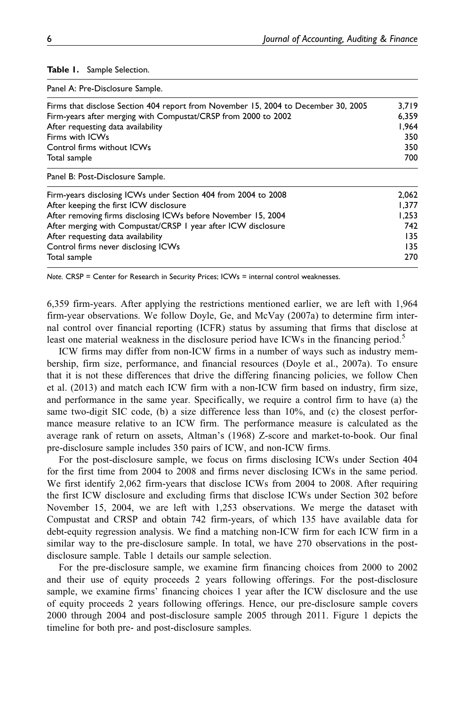Table 1. Sample Selection.

Panel A: Pre-Disclosure Sample.

| Firms that disclose Section 404 report from November 15, 2004 to December 30, 2005 | 3.719 |
|------------------------------------------------------------------------------------|-------|
| Firm-years after merging with Compustat/CRSP from 2000 to 2002                     | 6.359 |
| After requesting data availability                                                 | 1.964 |
| Firms with ICWs                                                                    | 350   |
| Control firms without ICWs                                                         | 350   |
| Total sample                                                                       | 700   |
| Panel B: Post-Disclosure Sample.                                                   |       |

| Firm-years disclosing ICWs under Section 404 from 2004 to 2008 | 2.062 |
|----------------------------------------------------------------|-------|
| After keeping the first ICW disclosure                         | 1.377 |
| After removing firms disclosing ICWs before November 15, 2004  | 1.253 |
| After merging with Compustat/CRSP I year after ICW disclosure  | 742   |
| After requesting data availability                             | 135   |
| Control firms never disclosing ICWs                            | 135   |
| Total sample                                                   | 270   |

Note. CRSP = Center for Research in Security Prices; ICWs = internal control weaknesses.

6,359 firm-years. After applying the restrictions mentioned earlier, we are left with 1,964 firm-year observations. We follow Doyle, Ge, and McVay (2007a) to determine firm internal control over financial reporting (ICFR) status by assuming that firms that disclose at least one material weakness in the disclosure period have ICWs in the financing period.<sup>5</sup>

ICW firms may differ from non-ICW firms in a number of ways such as industry membership, firm size, performance, and financial resources (Doyle et al., 2007a). To ensure that it is not these differences that drive the differing financing policies, we follow Chen et al. (2013) and match each ICW firm with a non-ICW firm based on industry, firm size, and performance in the same year. Specifically, we require a control firm to have (a) the same two-digit SIC code, (b) a size difference less than 10%, and (c) the closest performance measure relative to an ICW firm. The performance measure is calculated as the average rank of return on assets, Altman's (1968) Z-score and market-to-book. Our final pre-disclosure sample includes 350 pairs of ICW, and non-ICW firms.

For the post-disclosure sample, we focus on firms disclosing ICWs under Section 404 for the first time from 2004 to 2008 and firms never disclosing ICWs in the same period. We first identify 2,062 firm-years that disclose ICWs from 2004 to 2008. After requiring the first ICW disclosure and excluding firms that disclose ICWs under Section 302 before November 15, 2004, we are left with 1,253 observations. We merge the dataset with Compustat and CRSP and obtain 742 firm-years, of which 135 have available data for debt-equity regression analysis. We find a matching non-ICW firm for each ICW firm in a similar way to the pre-disclosure sample. In total, we have 270 observations in the postdisclosure sample. Table 1 details our sample selection.

For the pre-disclosure sample, we examine firm financing choices from 2000 to 2002 and their use of equity proceeds 2 years following offerings. For the post-disclosure sample, we examine firms' financing choices 1 year after the ICW disclosure and the use of equity proceeds 2 years following offerings. Hence, our pre-disclosure sample covers 2000 through 2004 and post-disclosure sample 2005 through 2011. Figure 1 depicts the timeline for both pre- and post-disclosure samples.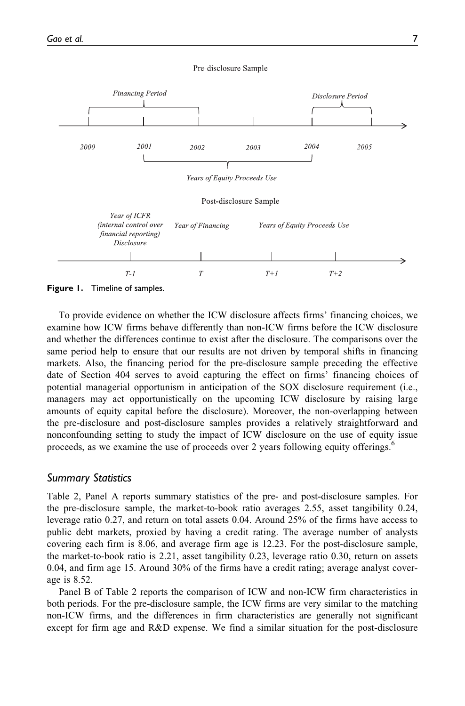





To provide evidence on whether the ICW disclosure affects firms' financing choices, we examine how ICW firms behave differently than non-ICW firms before the ICW disclosure and whether the differences continue to exist after the disclosure. The comparisons over the same period help to ensure that our results are not driven by temporal shifts in financing markets. Also, the financing period for the pre-disclosure sample preceding the effective date of Section 404 serves to avoid capturing the effect on firms' financing choices of potential managerial opportunism in anticipation of the SOX disclosure requirement (i.e., managers may act opportunistically on the upcoming ICW disclosure by raising large amounts of equity capital before the disclosure). Moreover, the non-overlapping between the pre-disclosure and post-disclosure samples provides a relatively straightforward and nonconfounding setting to study the impact of ICW disclosure on the use of equity issue proceeds, as we examine the use of proceeds over 2 years following equity offerings. $6$ 

#### Summary Statistics

Table 2, Panel A reports summary statistics of the pre- and post-disclosure samples. For the pre-disclosure sample, the market-to-book ratio averages 2.55, asset tangibility 0.24, leverage ratio 0.27, and return on total assets 0.04. Around 25% of the firms have access to public debt markets, proxied by having a credit rating. The average number of analysts covering each firm is 8.06, and average firm age is 12.23. For the post-disclosure sample, the market-to-book ratio is 2.21, asset tangibility 0.23, leverage ratio 0.30, return on assets 0.04, and firm age 15. Around 30% of the firms have a credit rating; average analyst coverage is 8.52.

Panel B of Table 2 reports the comparison of ICW and non-ICW firm characteristics in both periods. For the pre-disclosure sample, the ICW firms are very similar to the matching non-ICW firms, and the differences in firm characteristics are generally not significant except for firm age and R&D expense. We find a similar situation for the post-disclosure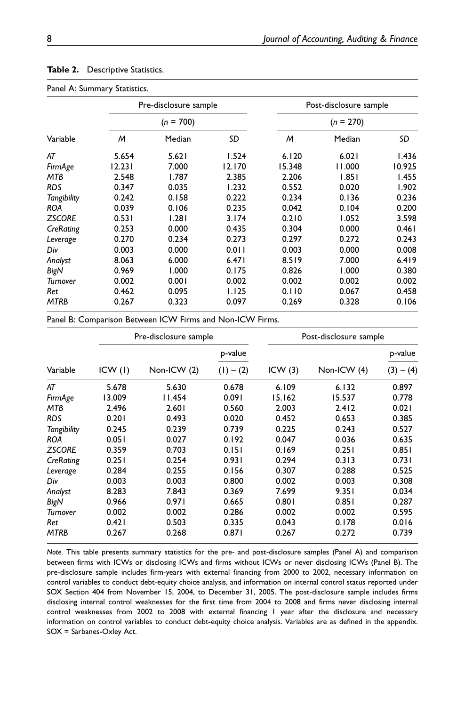| Panel A: Summary Statistics. |        |                       |        |                                       |        |        |
|------------------------------|--------|-----------------------|--------|---------------------------------------|--------|--------|
|                              |        | Pre-disclosure sample |        | Post-disclosure sample<br>$(n = 270)$ |        |        |
|                              |        | $(n = 700)$           |        |                                       |        |        |
| Variable                     | M      | Median                | SD     | M                                     | Median | SD     |
| AT                           | 5.654  | 5.621                 | 1.524  | 6.120                                 | 6.021  | I.436  |
| FirmAge                      | 12.231 | 7.000                 | 12.170 | 15.348                                | 11.000 | 10.925 |
| <b>MTB</b>                   | 2.548  | 1.787                 | 2.385  | 2.206                                 | 1.851  | 1.455  |
| <b>RDS</b>                   | 0.347  | 0.035                 | 1.232  | 0.552                                 | 0.020  | 1.902  |
| <b>Tangibility</b>           | 0.242  | 0.158                 | 0.222  | 0.234                                 | 0.136  | 0.236  |
| <b>ROA</b>                   | 0.039  | 0.106                 | 0.235  | 0.042                                 | 0.104  | 0.200  |
| <b>ZSCORE</b>                | 0.531  | 1.281                 | 3.174  | 0.210                                 | 1.052  | 3.598  |
| CreRating                    | 0.253  | 0.000                 | 0.435  | 0.304                                 | 0.000  | 0.461  |
| Leverage                     | 0.270  | 0.234                 | 0.273  | 0.297                                 | 0.272  | 0.243  |
| Div                          | 0.003  | 0.000                 | 0.011  | 0.003                                 | 0.000  | 0.008  |
| Analyst                      | 8.063  | 6.000                 | 6.471  | 8.519                                 | 7.000  | 6.419  |
| BigN                         | 0.969  | 1.000                 | 0.175  | 0.826                                 | 1.000  | 0.380  |
| <b>Turnover</b>              | 0.002  | 0.001                 | 0.002  | 0.002                                 | 0.002  | 0.002  |
| Ret                          | 0.462  | 0.095                 | 1.125  | 0.110                                 | 0.067  | 0.458  |
| MTRB                         | 0.267  | 0.323                 | 0.097  | 0.269                                 | 0.328  | 0.106  |

#### Table 2. Descriptive Statistics.

Panel A: Summary Statistics.

Panel B: Comparison Between ICW Firms and Non-ICW Firms.

|                    |        | Pre-disclosure sample |             |        | Post-disclosure sample |             |
|--------------------|--------|-----------------------|-------------|--------|------------------------|-------------|
|                    |        |                       | p-value     |        |                        | p-value     |
| Variable           | ICW(1) | Non-ICW (2)           | $(1) - (2)$ | ICW(3) | Non-ICW (4)            | $(3) - (4)$ |
| AT                 | 5.678  | 5.630                 | 0.678       | 6.109  | 6.132                  | 0.897       |
| FirmAge            | 13.009 | I I.454               | 0.091       | 15.162 | 15.537                 | 0.778       |
| MTB                | 2.496  | 2.601                 | 0.560       | 2.003  | 2.412                  | 0.021       |
| <b>RDS</b>         | 0.201  | 0.493                 | 0.020       | 0.452  | 0.653                  | 0.385       |
| <b>Tangibility</b> | 0.245  | 0.239                 | 0.739       | 0.225  | 0.243                  | 0.527       |
| <b>ROA</b>         | 0.051  | 0.027                 | 0.192       | 0.047  | 0.036                  | 0.635       |
| <b>ZSCORE</b>      | 0.359  | 0.703                 | 0.151       | 0.169  | 0.251                  | 0.851       |
| CreRating          | 0.251  | 0.254                 | 0.931       | 0.294  | 0.313                  | 0.731       |
| Leverage           | 0.284  | 0.255                 | 0.156       | 0.307  | 0.288                  | 0.525       |
| Div                | 0.003  | 0.003                 | 0.800       | 0.002  | 0.003                  | 0.308       |
| Analyst            | 8.283  | 7.843                 | 0.369       | 7.699  | 9.351                  | 0.034       |
| BigN               | 0.966  | 0.971                 | 0.665       | 0.801  | 0.851                  | 0.287       |
| <b>Turnover</b>    | 0.002  | 0.002                 | 0.286       | 0.002  | 0.002                  | 0.595       |
| Ret                | 0.421  | 0.503                 | 0.335       | 0.043  | 0.178                  | 0.016       |
| <b>MTRB</b>        | 0.267  | 0.268                 | 0.871       | 0.267  | 0.272                  | 0.739       |

Note. This table presents summary statistics for the pre- and post-disclosure samples (Panel A) and comparison between firms with ICWs or disclosing ICWs and firms without ICWs or never disclosing ICWs (Panel B). The pre-disclosure sample includes firm-years with external financing from 2000 to 2002, necessary information on control variables to conduct debt-equity choice analysis, and information on internal control status reported under SOX Section 404 from November 15, 2004, to December 31, 2005. The post-disclosure sample includes firms disclosing internal control weaknesses for the first time from 2004 to 2008 and firms never disclosing internal control weaknesses from 2002 to 2008 with external financing 1 year after the disclosure and necessary information on control variables to conduct debt-equity choice analysis. Variables are as defined in the appendix. SOX = Sarbanes-Oxley Act.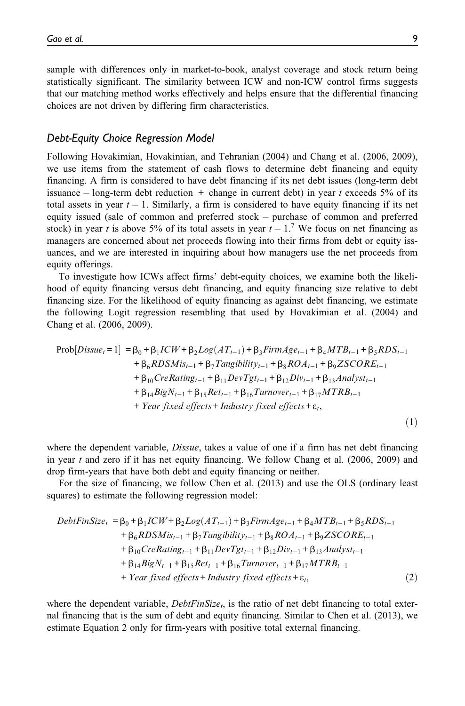sample with differences only in market-to-book, analyst coverage and stock return being statistically significant. The similarity between ICW and non-ICW control firms suggests that our matching method works effectively and helps ensure that the differential financing choices are not driven by differing firm characteristics.

#### Debt-Equity Choice Regression Model

Following Hovakimian, Hovakimian, and Tehranian (2004) and Chang et al. (2006, 2009), we use items from the statement of cash flows to determine debt financing and equity financing. A firm is considered to have debt financing if its net debt issues (long-term debt issuance – long-term debt reduction  $+$  change in current debt) in year t exceeds 5% of its total assets in year  $t - 1$ . Similarly, a firm is considered to have equity financing if its net equity issued (sale of common and preferred stock – purchase of common and preferred stock) in year t is above 5% of its total assets in year  $t - 1$ .<sup>7</sup> We focus on net financing as managers are concerned about net proceeds flowing into their firms from debt or equity issuances, and we are interested in inquiring about how managers use the net proceeds from equity offerings.

To investigate how ICWs affect firms' debt-equity choices, we examine both the likelihood of equity financing versus debt financing, and equity financing size relative to debt financing size. For the likelihood of equity financing as against debt financing, we estimate the following Logit regression resembling that used by Hovakimian et al. (2004) and Chang et al. (2006, 2009).

Prob½ - Dissuet = 1 = b<sup>0</sup> + b1ICW + b2Log AT ð Þ <sup>t</sup><sup>1</sup> + b3FirmAget<sup>1</sup> + b4MTBt<sup>1</sup> + b5RDSt<sup>1</sup> + b6RDSMist<sup>1</sup> + b7Tangibilityt<sup>1</sup> + b8ROAt<sup>1</sup> + b9ZSCOREt<sup>1</sup> + b10CreRatingt<sup>1</sup> + b11DevTgtt<sup>1</sup> + b12Divt<sup>1</sup> + b13Analystt<sup>1</sup> + b14BigNt<sup>1</sup> + b15Rett<sup>1</sup> + b16Turnovert<sup>1</sup> + b17MTRBt<sup>1</sup> + Year fixed effects + Industry fixed effects + et,

 $(1)$ 

where the dependent variable, *Dissue*, takes a value of one if a firm has net debt financing in year t and zero if it has net equity financing. We follow Chang et al. (2006, 2009) and drop firm-years that have both debt and equity financing or neither.

For the size of financing, we follow Chen et al. (2013) and use the OLS (ordinary least squares) to estimate the following regression model:

$$
DebtFinSize_t = \beta_0 + \beta_1ICW + \beta_2Log(AT_{t-1}) + \beta_3FirmAge_{t-1} + \beta_4MTB_{t-1} + \beta_5 RDS_{t-1} + \beta_6 RDS Mis_{t-1} + \beta_7 Tangibility_{t-1} + \beta_8 ROA_{t-1} + \beta_9 ZSCORE_{t-1} + \beta_{10}CreRating_{t-1} + \beta_{11} DevTgt_{t-1} + \beta_{12} Div_{t-1} + \beta_{13} Analysist_{t-1} + \beta_{14} BigN_{t-1} + \beta_{15} Ret_{t-1} + \beta_{16} Turnover_{t-1} + \beta_{17} MTRB_{t-1} + Year fixed effects + Industry fixed effects + \varepsilon_t,
$$
\n(2)

where the dependent variable,  $DebtFinSize<sub>t</sub>$ , is the ratio of net debt financing to total external financing that is the sum of debt and equity financing. Similar to Chen et al. (2013), we estimate Equation 2 only for firm-years with positive total external financing.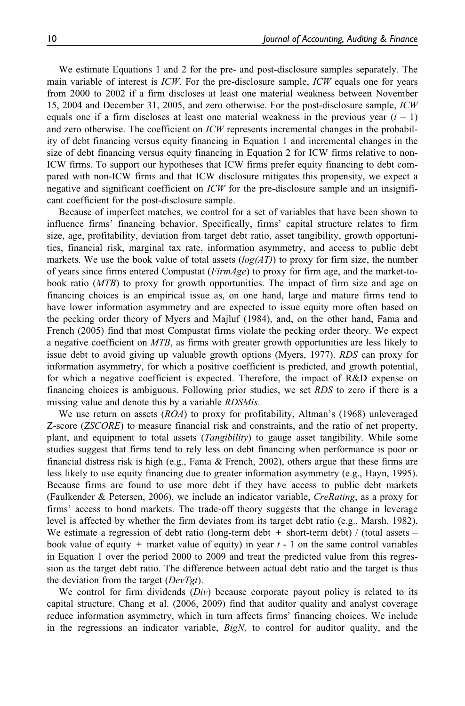We estimate Equations 1 and 2 for the pre- and post-disclosure samples separately. The main variable of interest is  $ICW$ . For the pre-disclosure sample,  $ICW$  equals one for years from 2000 to 2002 if a firm discloses at least one material weakness between November 15, 2004 and December 31, 2005, and zero otherwise. For the post-disclosure sample, ICW equals one if a firm discloses at least one material weakness in the previous year  $(t - 1)$ and zero otherwise. The coefficient on *ICW* represents incremental changes in the probability of debt financing versus equity financing in Equation 1 and incremental changes in the size of debt financing versus equity financing in Equation 2 for ICW firms relative to non-ICW firms. To support our hypotheses that ICW firms prefer equity financing to debt compared with non-ICW firms and that ICW disclosure mitigates this propensity, we expect a negative and significant coefficient on *ICW* for the pre-disclosure sample and an insignificant coefficient for the post-disclosure sample.

Because of imperfect matches, we control for a set of variables that have been shown to influence firms' financing behavior. Specifically, firms' capital structure relates to firm size, age, profitability, deviation from target debt ratio, asset tangibility, growth opportunities, financial risk, marginal tax rate, information asymmetry, and access to public debt markets. We use the book value of total assets  $(log(AT))$  to proxy for firm size, the number of years since firms entered Compustat ( $FirmAge$ ) to proxy for firm age, and the market-tobook ratio (MTB) to proxy for growth opportunities. The impact of firm size and age on financing choices is an empirical issue as, on one hand, large and mature firms tend to have lower information asymmetry and are expected to issue equity more often based on the pecking order theory of Myers and Majluf (1984), and, on the other hand, Fama and French (2005) find that most Compustat firms violate the pecking order theory. We expect a negative coefficient on MTB, as firms with greater growth opportunities are less likely to issue debt to avoid giving up valuable growth options (Myers, 1977). RDS can proxy for information asymmetry, for which a positive coefficient is predicted, and growth potential, for which a negative coefficient is expected. Therefore, the impact of R&D expense on financing choices is ambiguous. Following prior studies, we set RDS to zero if there is a missing value and denote this by a variable RDSMis.

We use return on assets (*ROA*) to proxy for profitability, Altman's (1968) unleveraged Z-score (ZSCORE) to measure financial risk and constraints, and the ratio of net property, plant, and equipment to total assets (Tangibility) to gauge asset tangibility. While some studies suggest that firms tend to rely less on debt financing when performance is poor or financial distress risk is high (e.g., Fama & French, 2002), others argue that these firms are less likely to use equity financing due to greater information asymmetry (e.g., Hayn, 1995). Because firms are found to use more debt if they have access to public debt markets (Faulkender & Petersen, 2006), we include an indicator variable, CreRating, as a proxy for firms' access to bond markets. The trade-off theory suggests that the change in leverage level is affected by whether the firm deviates from its target debt ratio (e.g., Marsh, 1982). We estimate a regression of debt ratio (long-term debt  $+$  short-term debt) / (total assets – book value of equity + market value of equity) in year  $t - 1$  on the same control variables in Equation 1 over the period 2000 to 2009 and treat the predicted value from this regression as the target debt ratio. The difference between actual debt ratio and the target is thus the deviation from the target ( $DevTgt$ ).

We control for firm dividends  $(Div)$  because corporate payout policy is related to its capital structure. Chang et al. (2006, 2009) find that auditor quality and analyst coverage reduce information asymmetry, which in turn affects firms' financing choices. We include in the regressions an indicator variable, *BigN*, to control for auditor quality, and the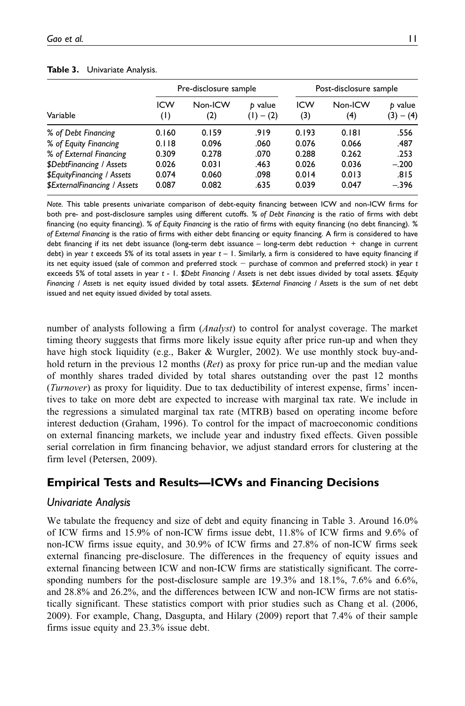|                              | Pre-disclosure sample           |                |                        | Post-disclosure sample |                |                        |
|------------------------------|---------------------------------|----------------|------------------------|------------------------|----------------|------------------------|
| Variable                     | <b>ICW</b><br>$\left( 1\right)$ | Non-ICW<br>(2) | b value<br>$(1) - (2)$ | <b>ICW</b><br>(3)      | Non-ICW<br>(4) | b value<br>$(3) - (4)$ |
| % of Debt Financing          | 0.160                           | 0.159          | .919                   | 0.193                  | 0.181          | .556                   |
| % of Equity Financing        | 0.118                           | 0.096          | .060                   | 0.076                  | 0.066          | .487                   |
| % of External Financing      | 0.309                           | 0.278          | .070                   | 0.288                  | 0.262          | .253                   |
| \$DebtFinancing / Assets     | 0.026                           | 0.031          | .463                   | 0.026                  | 0.036          | $-.200$                |
| \$EquityFinancing / Assets   | 0.074                           | 0.060          | .098                   | 0.014                  | 0.013          | .815                   |
| \$ExternalFinancing / Assets | 0.087                           | 0.082          | .635                   | 0.039                  | 0.047          | $-.396$                |

#### Table 3. Univariate Analysis.

Note. This table presents univariate comparison of debt-equity financing between ICW and non-ICW firms for both pre- and post-disclosure samples using different cutoffs. % of Debt Financing is the ratio of firms with debt financing (no equity financing). % of Equity Financing is the ratio of firms with equity financing (no debt financing). % of External Financing is the ratio of firms with either debt financing or equity financing. A firm is considered to have debt financing if its net debt issuance (long-term debt issuance – long-term debt reduction + change in current debt) in year  $t$  exceeds 5% of its total assets in year  $t - 1$ . Similarly, a firm is considered to have equity financing if its net equity issued (sale of common and preferred stock  $-$  purchase of common and preferred stock) in year  $t$ exceeds 5% of total assets in year t - 1. \$Debt Financing / Assets is net debt issues divided by total assets. \$Equity Financing / Assets is net equity issued divided by total assets. \$External Financing / Assets is the sum of net debt issued and net equity issued divided by total assets.

number of analysts following a firm (*Analyst*) to control for analyst coverage. The market timing theory suggests that firms more likely issue equity after price run-up and when they have high stock liquidity (e.g., Baker & Wurgler, 2002). We use monthly stock buy-andhold return in the previous 12 months (*Ret*) as proxy for price run-up and the median value of monthly shares traded divided by total shares outstanding over the past 12 months (Turnover) as proxy for liquidity. Due to tax deductibility of interest expense, firms' incentives to take on more debt are expected to increase with marginal tax rate. We include in the regressions a simulated marginal tax rate (MTRB) based on operating income before interest deduction (Graham, 1996). To control for the impact of macroeconomic conditions on external financing markets, we include year and industry fixed effects. Given possible serial correlation in firm financing behavior, we adjust standard errors for clustering at the firm level (Petersen, 2009).

## Empirical Tests and Results—ICWs and Financing Decisions

#### Univariate Analysis

We tabulate the frequency and size of debt and equity financing in Table 3. Around 16.0% of ICW firms and 15.9% of non-ICW firms issue debt, 11.8% of ICW firms and 9.6% of non-ICW firms issue equity, and 30.9% of ICW firms and 27.8% of non-ICW firms seek external financing pre-disclosure. The differences in the frequency of equity issues and external financing between ICW and non-ICW firms are statistically significant. The corresponding numbers for the post-disclosure sample are 19.3% and 18.1%, 7.6% and 6.6%, and 28.8% and 26.2%, and the differences between ICW and non-ICW firms are not statistically significant. These statistics comport with prior studies such as Chang et al. (2006, 2009). For example, Chang, Dasgupta, and Hilary (2009) report that 7.4% of their sample firms issue equity and 23.3% issue debt.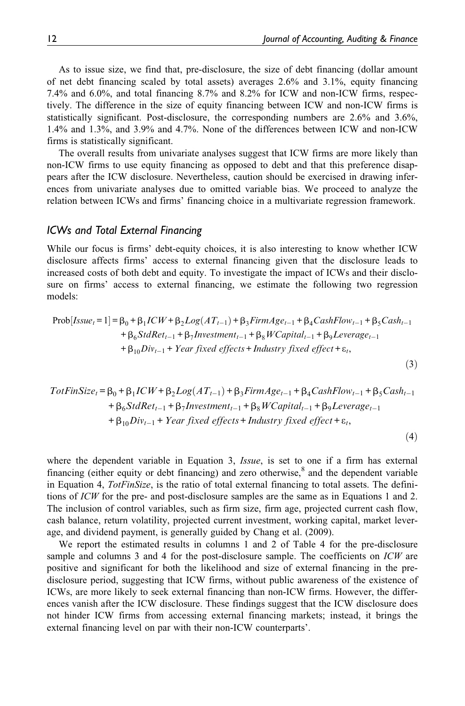As to issue size, we find that, pre-disclosure, the size of debt financing (dollar amount of net debt financing scaled by total assets) averages 2.6% and 3.1%, equity financing 7.4% and 6.0%, and total financing 8.7% and 8.2% for ICW and non-ICW firms, respectively. The difference in the size of equity financing between ICW and non-ICW firms is statistically significant. Post-disclosure, the corresponding numbers are 2.6% and 3.6%, 1.4% and 1.3%, and 3.9% and 4.7%. None of the differences between ICW and non-ICW firms is statistically significant.

The overall results from univariate analyses suggest that ICW firms are more likely than non-ICW firms to use equity financing as opposed to debt and that this preference disappears after the ICW disclosure. Nevertheless, caution should be exercised in drawing inferences from univariate analyses due to omitted variable bias. We proceed to analyze the relation between ICWs and firms' financing choice in a multivariate regression framework.

#### ICWs and Total External Financing

While our focus is firms' debt-equity choices, it is also interesting to know whether ICW disclosure affects firms' access to external financing given that the disclosure leads to increased costs of both debt and equity. To investigate the impact of ICWs and their disclosure on firms' access to external financing, we estimate the following two regression models:

$$
Prob[Issue_t = 1] = \beta_0 + \beta_1ICW + \beta_2Log(AT_{t-1}) + \beta_3FirmAge_{t-1} + \beta_4CashFlow_{t-1} + \beta_5Cash_{t-1} + \beta_6StdRet_{t-1} + \beta_7Investment_{t-1} + \beta_8 WCapital_{t-1} + \beta_9Leverage_{t-1} + \beta_{10}Div_{t-1} + Year fixed effects + Industry fixed effect + \varepsilon_t,
$$
\n(3)

$$
TotFinSize_t = \beta_0 + \beta_1 ICW + \beta_2 Log(AT_{t-1}) + \beta_3 FirmAge_{t-1} + \beta_4 CashFlow_{t-1} + \beta_5 Cash_{t-1} + \beta_6 StdRet_{t-1} + \beta_7 Investment_{t-1} + \beta_8 W Capital_{t-1} + \beta_9 Leverage_{t-1} + \beta_{10} Div_{t-1} + Year fixed effects + Industry fixed effect + \varepsilon_t,
$$
\n(4)

where the dependent variable in Equation 3, *Issue*, is set to one if a firm has external financing (either equity or debt financing) and zero otherwise, $\frac{8}{3}$  and the dependent variable in Equation 4, TotFinSize, is the ratio of total external financing to total assets. The definitions of ICW for the pre- and post-disclosure samples are the same as in Equations 1 and 2. The inclusion of control variables, such as firm size, firm age, projected current cash flow, cash balance, return volatility, projected current investment, working capital, market leverage, and dividend payment, is generally guided by Chang et al. (2009).

We report the estimated results in columns 1 and 2 of Table 4 for the pre-disclosure sample and columns 3 and 4 for the post-disclosure sample. The coefficients on *ICW* are positive and significant for both the likelihood and size of external financing in the predisclosure period, suggesting that ICW firms, without public awareness of the existence of ICWs, are more likely to seek external financing than non-ICW firms. However, the differences vanish after the ICW disclosure. These findings suggest that the ICW disclosure does not hinder ICW firms from accessing external financing markets; instead, it brings the external financing level on par with their non-ICW counterparts'.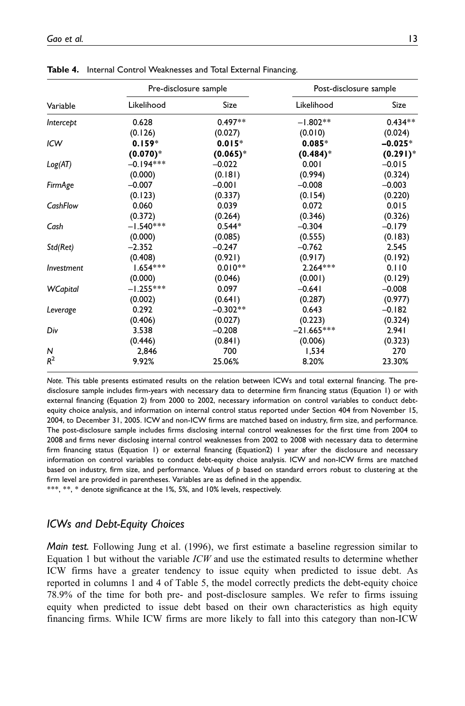|                 | Pre-disclosure sample |            | Post-disclosure sample |             |  |
|-----------------|-----------------------|------------|------------------------|-------------|--|
| Variable        | Likelihood            | Size       | Likelihood             | Size        |  |
| Intercept       | 0.628                 | $0.497**$  | $-1.802**$             | $0.434**$   |  |
|                 | (0.126)               | (0.027)    | (0.010)                | (0.024)     |  |
| ICW             | $0.159*$              | $0.015*$   | $0.085*$               | $-0.025*$   |  |
|                 | $(0.070)*$            | $(0.065)*$ | $(0.484)^*$            | $(0.291)^*$ |  |
| Log(AT)         | $-0.194***$           | $-0.022$   | 0.001                  | $-0.015$    |  |
|                 | (0.000)               | (0.181)    | (0.994)                | (0.324)     |  |
| FirmAge         | $-0.007$              | $-0.001$   | $-0.008$               | $-0.003$    |  |
|                 | (0.123)               | (0.337)    | (0.154)                | (0.220)     |  |
| CashFlow        | 0.060                 | 0.039      | 0.072                  | 0.015       |  |
|                 | (0.372)               | (0.264)    | (0.346)                | (0.326)     |  |
| Cash            | $-1.540***$           | $0.544*$   | $-0.304$               | $-0.179$    |  |
|                 | (0.000)               | (0.085)    | (0.555)                | (0.183)     |  |
| Std(Ret)        | $-2.352$              | $-0.247$   | $-0.762$               | 2.545       |  |
|                 | (0.408)               | (0.921)    | (0.917)                | (0.192)     |  |
| Investment      | $1.654***$            | $0.010**$  | $2.264***$             | 0.110       |  |
|                 | (0.000)               | (0.046)    | (0.001)                | (0.129)     |  |
| <b>WCapital</b> | $-1.255***$           | 0.097      | $-0.641$               | $-0.008$    |  |
|                 | (0.002)               | (0.641)    | (0.287)                | (0.977)     |  |
| Leverage        | 0.292                 | $-0.302**$ | 0.643                  | $-0.182$    |  |
|                 | (0.406)               | (0.027)    | (0.223)                | (0.324)     |  |
| Div             | 3.538                 | $-0.208$   | $-21.665***$           | 2.941       |  |
|                 | (0.446)               | (0.841)    | (0.006)                | (0.323)     |  |
| N               | 2,846                 | 700        | 1,534                  | 270         |  |
| $R^2$           | 9.92%                 | 25.06%     | 8.20%                  | 23.30%      |  |

Table 4. Internal Control Weaknesses and Total External Financing.

Note. This table presents estimated results on the relation between ICWs and total external financing. The predisclosure sample includes firm-years with necessary data to determine firm financing status (Equation 1) or with external financing (Equation 2) from 2000 to 2002, necessary information on control variables to conduct debtequity choice analysis, and information on internal control status reported under Section 404 from November 15, 2004, to December 31, 2005. ICW and non-ICW firms are matched based on industry, firm size, and performance. The post-disclosure sample includes firms disclosing internal control weaknesses for the first time from 2004 to 2008 and firms never disclosing internal control weaknesses from 2002 to 2008 with necessary data to determine firm financing status (Equation 1) or external financing (Equation2) 1 year after the disclosure and necessary information on control variables to conduct debt-equity choice analysis. ICW and non-ICW firms are matched based on industry, firm size, and performance. Values of  $p$  based on standard errors robust to clustering at the firm level are provided in parentheses. Variables are as defined in the appendix. \*\*\*, \*\*, \* denote significance at the 1%, 5%, and 10% levels, respectively.

ICWs and Debt-Equity Choices

Main test. Following Jung et al. (1996), we first estimate a baseline regression similar to Equation 1 but without the variable ICW and use the estimated results to determine whether ICW firms have a greater tendency to issue equity when predicted to issue debt. As reported in columns 1 and 4 of Table 5, the model correctly predicts the debt-equity choice 78.9% of the time for both pre- and post-disclosure samples. We refer to firms issuing equity when predicted to issue debt based on their own characteristics as high equity financing firms. While ICW firms are more likely to fall into this category than non-ICW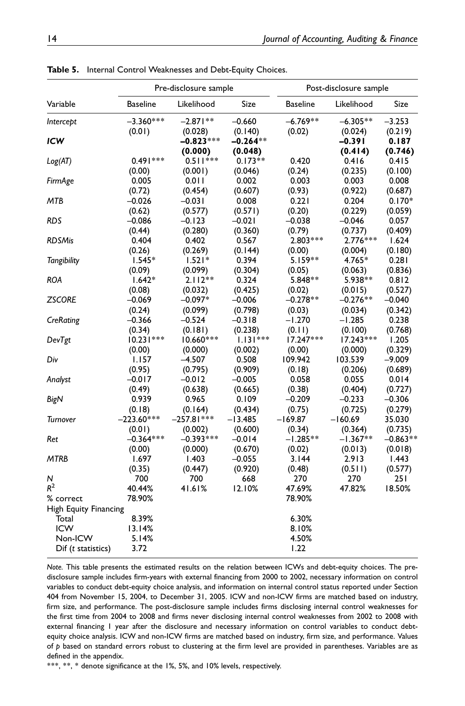|                       |                 | Pre-disclosure sample |            | Post-disclosure sample |            |            |
|-----------------------|-----------------|-----------------------|------------|------------------------|------------|------------|
| Variable              | <b>Baseline</b> | Likelihood            | Size       | <b>Baseline</b>        | Likelihood | Size       |
| Intercept             | $-3.360***$     | $-2.871**$            | $-0.660$   | $-6.769**$             | $-6.305**$ | $-3.253$   |
|                       | (0.01)          | (0.028)               | (0.140)    | (0.02)                 | (0.024)    | (0.219)    |
| ICW                   |                 | $-0.823***$           | $-0.264**$ |                        | -0.391     | 0.187      |
|                       |                 | (0.000)               | (0.048)    |                        | (0.414)    | (0.746)    |
| Log(AT)               | $0.491***$      | $0.511***$            | $0.173**$  | 0.420                  | 0.416      | 0.415      |
|                       | (0.00)          | (0.001)               | (0.046)    | (0.24)                 | (0.235)    | (0.100)    |
| FirmAge               | 0.005           | 0.011                 | 0.002      | 0.003                  | 0.003      | 0.008      |
|                       | (0.72)          | (0.454)               | (0.607)    | (0.93)                 | (0.922)    | (0.687)    |
| MTB                   | $-0.026$        | $-0.031$              | 0.008      | 0.221                  | 0.204      | $0.170*$   |
|                       | (0.62)          | (0.577)               | (0.571)    | (0.20)                 | (0.229)    | (0.059)    |
| <b>RDS</b>            | $-0.086$        | $-0.123$              | $-0.021$   | $-0.038$               | $-0.046$   | 0.057      |
|                       | (0.44)          | (0.280)               | (0.360)    | (0.79)                 | (0.737)    | (0.409)    |
| <b>RDSMis</b>         | 0.404           | 0.402                 | 0.567      | $2.803***$             | $2.776***$ | 1.624      |
|                       | (0.26)          | (0.269)               | (0.144)    | (0.00)                 | (0.004)    | (0.180)    |
| <b>Tangibility</b>    | $1.545*$        | $1.521*$              | 0.394      | $5.159**$              | 4.765*     | 0.281      |
|                       | (0.09)          | (0.099)               | (0.304)    | (0.05)                 | (0.063)    | (0.836)    |
| <b>ROA</b>            | $1.642*$        | $2.112**$             | 0.324      | 5.848**                | 5.938**    | 0.812      |
|                       | (0.08)          | (0.032)               | (0.425)    | (0.02)                 | (0.015)    | (0.527)    |
| ZSCORE                | $-0.069$        | $-0.097*$             | $-0.006$   | $-0.278**$             | $-0.276**$ | $-0.040$   |
|                       | (0.24)          | (0.099)               | (0.798)    | (0.03)                 | (0.034)    | (0.342)    |
| CreRating             | $-0.366$        | -0.524                | -0.318     | $-1.270$               | -1.285     | 0.238      |
|                       | (0.34)          | (0.181)               | (0.238)    | (0.11)                 | (0.100)    | (0.768)    |
| DevTgt                | $10.231***$     | 10.660***             | $1.131***$ | 17.247***              | 17.243***  | 1.205      |
|                       | (0.00)          | (0.000)               | (0.002)    | (0.00)                 | (0.000)    | (0.329)    |
| Div                   | 1.157           | $-4.507$              | 0.508      | 109.942                | 103.539    | $-9.009$   |
|                       | (0.95)          | (0.795)               | (0.909)    | (0.18)                 | (0.206)    | (0.689)    |
| Analyst               | $-0.017$        | $-0.012$              | $-0.005$   | 0.058                  | 0.055      | 0.014      |
|                       | (0.49)          | (0.638)               | (0.665)    | (0.38)                 | (0.404)    | (0.727)    |
| BigN                  | 0.939           | 0.965                 | 0.109      | $-0.209$               | $-0.233$   | $-0.306$   |
|                       | (0.18)          | (0.164)               | (0.434)    | (0.75)                 | (0.725)    | (0.279)    |
| <b>Turnover</b>       | $-223.60***$    | $-257.81***$          | $-13.485$  | $-169.87$              | $-160.69$  | 35.030     |
|                       | (0.01)          | (0.002)               | (0.600)    | (0.34)                 | (0.364)    | (0.735)    |
| Ret                   | $-0.364***$     | $-0.393***$           | $-0.014$   | $-1.285**$             | $-1.367**$ | $-0.863**$ |
|                       | (0.00)          | (0.000)               | (0.670)    | (0.02)                 | (0.013)    | (0.018)    |
| <b>MTRB</b>           | 1.697           | 1.403                 | $-0.055$   | 3.144                  | 2.913      | 1.443      |
|                       | (0.35)          | (0.447)               | (0.920)    | (0.48)                 | (0.511)    | (0.577)    |
| N                     | 700             | 700                   | 668        | 270                    | 270        | 251        |
| $R^2$                 | 40.44%          | 41.61%                | 12.10%     | 47.69%                 | 47.82%     | 18.50%     |
| $\%$ correct          | 78.90%          |                       |            | 78.90%                 |            |            |
| High Equity Financing |                 |                       |            |                        |            |            |
| Total                 | 8.39%           |                       |            | 6.30%                  |            |            |
| <b>ICW</b>            | 13.14%          |                       |            | 8.10%                  |            |            |
| Non-ICW               | 5.14%           |                       |            | 4.50%                  |            |            |
| $Diff(t)$ statistics) | 3.72            |                       |            | 1.22                   |            |            |
|                       |                 |                       |            |                        |            |            |

Table 5. Internal Control Weaknesses and Debt-Equity Choices.

Note. This table presents the estimated results on the relation between ICWs and debt-equity choices. The predisclosure sample includes firm-years with external financing from 2000 to 2002, necessary information on control variables to conduct debt-equity choice analysis, and information on internal control status reported under Section 404 from November 15, 2004, to December 31, 2005. ICW and non-ICW firms are matched based on industry, firm size, and performance. The post-disclosure sample includes firms disclosing internal control weaknesses for the first time from 2004 to 2008 and firms never disclosing internal control weaknesses from 2002 to 2008 with external financing 1 year after the disclosure and necessary information on control variables to conduct debtequity choice analysis. ICW and non-ICW firms are matched based on industry, firm size, and performance. Values of  $p$  based on standard errors robust to clustering at the firm level are provided in parentheses. Variables are as defined in the appendix.

\*\*\*, \*\*, \* denote significance at the 1%, 5%, and 10% levels, respectively.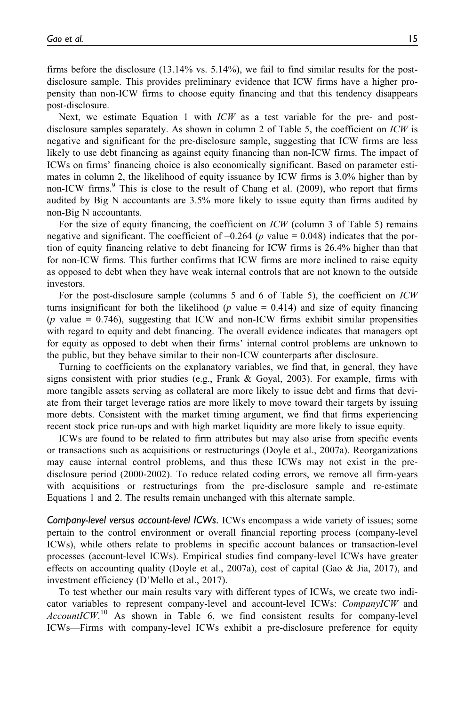firms before the disclosure (13.14% vs. 5.14%), we fail to find similar results for the postdisclosure sample. This provides preliminary evidence that ICW firms have a higher propensity than non-ICW firms to choose equity financing and that this tendency disappears post-disclosure.

Next, we estimate Equation 1 with *ICW* as a test variable for the pre- and postdisclosure samples separately. As shown in column 2 of Table 5, the coefficient on ICW is negative and significant for the pre-disclosure sample, suggesting that ICW firms are less likely to use debt financing as against equity financing than non-ICW firms. The impact of ICWs on firms' financing choice is also economically significant. Based on parameter estimates in column 2, the likelihood of equity issuance by ICW firms is 3.0% higher than by non-ICW firms.<sup>9</sup> This is close to the result of Chang et al. (2009), who report that firms audited by Big N accountants are 3.5% more likely to issue equity than firms audited by non-Big N accountants.

For the size of equity financing, the coefficient on  $ICW$  (column 3 of Table 5) remains negative and significant. The coefficient of  $-0.264$  (p value = 0.048) indicates that the portion of equity financing relative to debt financing for ICW firms is 26.4% higher than that for non-ICW firms. This further confirms that ICW firms are more inclined to raise equity as opposed to debt when they have weak internal controls that are not known to the outside investors.

For the post-disclosure sample (columns 5 and 6 of Table 5), the coefficient on ICW turns insignificant for both the likelihood (p value  $= 0.414$ ) and size of equity financing  $(p \text{ value } = 0.746)$ , suggesting that ICW and non-ICW firms exhibit similar propensities with regard to equity and debt financing. The overall evidence indicates that managers opt for equity as opposed to debt when their firms' internal control problems are unknown to the public, but they behave similar to their non-ICW counterparts after disclosure.

Turning to coefficients on the explanatory variables, we find that, in general, they have signs consistent with prior studies (e.g., Frank  $\&$  Goyal, 2003). For example, firms with more tangible assets serving as collateral are more likely to issue debt and firms that deviate from their target leverage ratios are more likely to move toward their targets by issuing more debts. Consistent with the market timing argument, we find that firms experiencing recent stock price run-ups and with high market liquidity are more likely to issue equity.

ICWs are found to be related to firm attributes but may also arise from specific events or transactions such as acquisitions or restructurings (Doyle et al., 2007a). Reorganizations may cause internal control problems, and thus these ICWs may not exist in the predisclosure period (2000-2002). To reduce related coding errors, we remove all firm-years with acquisitions or restructurings from the pre-disclosure sample and re-estimate Equations 1 and 2. The results remain unchanged with this alternate sample.

Company-level versus account-level ICWs. ICWs encompass a wide variety of issues; some pertain to the control environment or overall financial reporting process (company-level ICWs), while others relate to problems in specific account balances or transaction-level processes (account-level ICWs). Empirical studies find company-level ICWs have greater effects on accounting quality (Doyle et al., 2007a), cost of capital (Gao & Jia, 2017), and investment efficiency (D'Mello et al., 2017).

To test whether our main results vary with different types of ICWs, we create two indicator variables to represent company-level and account-level ICWs: CompanyICW and  $AccountCW<sup>10</sup>$  As shown in Table 6, we find consistent results for company-level ICWs—Firms with company-level ICWs exhibit a pre-disclosure preference for equity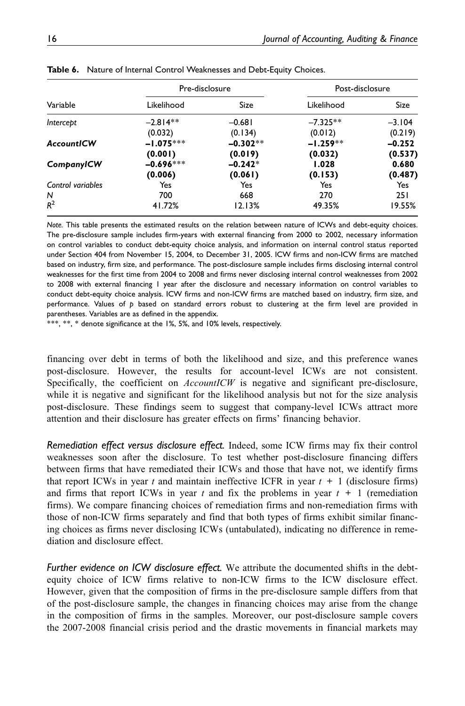|                   | Pre-disclosure |            | Post-disclosure |          |  |
|-------------------|----------------|------------|-----------------|----------|--|
| Variable          | Likelihood     | Size       | Likelihood      | Size     |  |
| Intercept         | $-2.814**$     | $-0.681$   | $-7.325**$      | $-3.104$ |  |
|                   | (0.032)        | (0.134)    | (0.012)         | (0.219)  |  |
| AccountICW        | $-1.075***$    | $-0.302**$ | $-1.259**$      | $-0.252$ |  |
|                   | (0.001)        | (0.019)    | (0.032)         | (0.537)  |  |
| CompanyICW        | $-0.696***$    | $-0.242*$  | 1.028           | 0.680    |  |
|                   | (0.006)        | (0.061)    | (0.153)         | (0.487)  |  |
| Control variables | Yes            | Yes        | Yes             | Yes      |  |
| N                 | 700            | 668        | 270             | 251      |  |
| $R^2$             | 41.72%         | 12.13%     | 49.35%          | 19.55%   |  |

Table 6. Nature of Internal Control Weaknesses and Debt-Equity Choices.

Note. This table presents the estimated results on the relation between nature of ICWs and debt-equity choices. The pre-disclosure sample includes firm-years with external financing from 2000 to 2002, necessary information on control variables to conduct debt-equity choice analysis, and information on internal control status reported under Section 404 from November 15, 2004, to December 31, 2005. ICW firms and non-ICW firms are matched based on industry, firm size, and performance. The post-disclosure sample includes firms disclosing internal control weaknesses for the first time from 2004 to 2008 and firms never disclosing internal control weaknesses from 2002 to 2008 with external financing 1 year after the disclosure and necessary information on control variables to conduct debt-equity choice analysis. ICW firms and non-ICW firms are matched based on industry, firm size, and performance. Values of  $p$  based on standard errors robust to clustering at the firm level are provided in parentheses. Variables are as defined in the appendix.

\*\*\*, \*\*, \* denote significance at the 1%, 5%, and 10% levels, respectively.

financing over debt in terms of both the likelihood and size, and this preference wanes post-disclosure. However, the results for account-level ICWs are not consistent. Specifically, the coefficient on AccountICW is negative and significant pre-disclosure, while it is negative and significant for the likelihood analysis but not for the size analysis post-disclosure. These findings seem to suggest that company-level ICWs attract more attention and their disclosure has greater effects on firms' financing behavior.

Remediation effect versus disclosure effect. Indeed, some ICW firms may fix their control weaknesses soon after the disclosure. To test whether post-disclosure financing differs between firms that have remediated their ICWs and those that have not, we identify firms that report ICWs in year t and maintain ineffective ICFR in year  $t + 1$  (disclosure firms) and firms that report ICWs in year t and fix the problems in year  $t + 1$  (remediation firms). We compare financing choices of remediation firms and non-remediation firms with those of non-ICW firms separately and find that both types of firms exhibit similar financing choices as firms never disclosing ICWs (untabulated), indicating no difference in remediation and disclosure effect.

Further evidence on ICW disclosure effect. We attribute the documented shifts in the debtequity choice of ICW firms relative to non-ICW firms to the ICW disclosure effect. However, given that the composition of firms in the pre-disclosure sample differs from that of the post-disclosure sample, the changes in financing choices may arise from the change in the composition of firms in the samples. Moreover, our post-disclosure sample covers the 2007-2008 financial crisis period and the drastic movements in financial markets may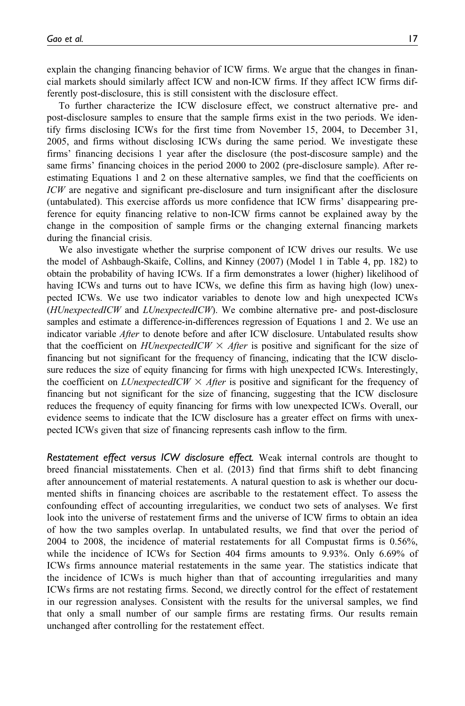explain the changing financing behavior of ICW firms. We argue that the changes in financial markets should similarly affect ICW and non-ICW firms. If they affect ICW firms differently post-disclosure, this is still consistent with the disclosure effect.

To further characterize the ICW disclosure effect, we construct alternative pre- and post-disclosure samples to ensure that the sample firms exist in the two periods. We identify firms disclosing ICWs for the first time from November 15, 2004, to December 31, 2005, and firms without disclosing ICWs during the same period. We investigate these firms' financing decisions 1 year after the disclosure (the post-discosure sample) and the same firms' financing choices in the period 2000 to 2002 (pre-disclosure sample). After reestimating Equations 1 and 2 on these alternative samples, we find that the coefficients on ICW are negative and significant pre-disclosure and turn insignificant after the disclosure (untabulated). This exercise affords us more confidence that ICW firms' disappearing preference for equity financing relative to non-ICW firms cannot be explained away by the change in the composition of sample firms or the changing external financing markets during the financial crisis.

We also investigate whether the surprise component of ICW drives our results. We use the model of Ashbaugh-Skaife, Collins, and Kinney (2007) (Model 1 in Table 4, pp. 182) to obtain the probability of having ICWs. If a firm demonstrates a lower (higher) likelihood of having ICWs and turns out to have ICWs, we define this firm as having high (low) unexpected ICWs. We use two indicator variables to denote low and high unexpected ICWs (HUnexpectedICW and LUnexpectedICW). We combine alternative pre- and post-disclosure samples and estimate a difference-in-differences regression of Equations 1 and 2. We use an indicator variable After to denote before and after ICW disclosure. Untabulated results show that the coefficient on  $HUnexpectedICW \times After$  is positive and significant for the size of financing but not significant for the frequency of financing, indicating that the ICW disclosure reduces the size of equity financing for firms with high unexpected ICWs. Interestingly, the coefficient on *LUnexpectedICW*  $\times$  *After* is positive and significant for the frequency of financing but not significant for the size of financing, suggesting that the ICW disclosure reduces the frequency of equity financing for firms with low unexpected ICWs. Overall, our evidence seems to indicate that the ICW disclosure has a greater effect on firms with unexpected ICWs given that size of financing represents cash inflow to the firm.

Restatement effect versus ICW disclosure effect. Weak internal controls are thought to breed financial misstatements. Chen et al. (2013) find that firms shift to debt financing after announcement of material restatements. A natural question to ask is whether our documented shifts in financing choices are ascribable to the restatement effect. To assess the confounding effect of accounting irregularities, we conduct two sets of analyses. We first look into the universe of restatement firms and the universe of ICW firms to obtain an idea of how the two samples overlap. In untabulated results, we find that over the period of 2004 to 2008, the incidence of material restatements for all Compustat firms is 0.56%, while the incidence of ICWs for Section 404 firms amounts to 9.93%. Only 6.69% of ICWs firms announce material restatements in the same year. The statistics indicate that the incidence of ICWs is much higher than that of accounting irregularities and many ICWs firms are not restating firms. Second, we directly control for the effect of restatement in our regression analyses. Consistent with the results for the universal samples, we find that only a small number of our sample firms are restating firms. Our results remain unchanged after controlling for the restatement effect.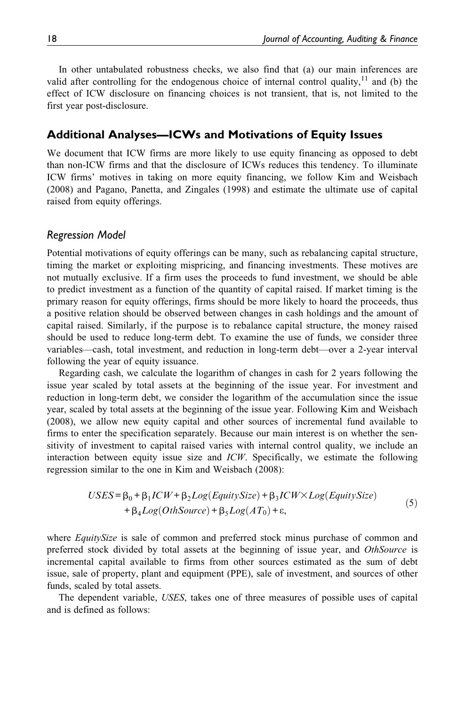In other untabulated robustness checks, we also find that (a) our main inferences are valid after controlling for the endogenous choice of internal control quality, $^{11}$  and (b) the effect of ICW disclosure on financing choices is not transient, that is, not limited to the first year post-disclosure.

### Additional Analyses—ICWs and Motivations of Equity Issues

We document that ICW firms are more likely to use equity financing as opposed to debt than non-ICW firms and that the disclosure of ICWs reduces this tendency. To illuminate ICW firms' motives in taking on more equity financing, we follow Kim and Weisbach (2008) and Pagano, Panetta, and Zingales (1998) and estimate the ultimate use of capital raised from equity offerings.

#### Regression Model

Potential motivations of equity offerings can be many, such as rebalancing capital structure, timing the market or exploiting mispricing, and financing investments. These motives are not mutually exclusive. If a firm uses the proceeds to fund investment, we should be able to predict investment as a function of the quantity of capital raised. If market timing is the primary reason for equity offerings, firms should be more likely to hoard the proceeds, thus a positive relation should be observed between changes in cash holdings and the amount of capital raised. Similarly, if the purpose is to rebalance capital structure, the money raised should be used to reduce long-term debt. To examine the use of funds, we consider three variables—cash, total investment, and reduction in long-term debt—over a 2-year interval following the year of equity issuance.

Regarding cash, we calculate the logarithm of changes in cash for 2 years following the issue year scaled by total assets at the beginning of the issue year. For investment and reduction in long-term debt, we consider the logarithm of the accumulation since the issue year, scaled by total assets at the beginning of the issue year. Following Kim and Weisbach (2008), we allow new equity capital and other sources of incremental fund available to firms to enter the specification separately. Because our main interest is on whether the sensitivity of investment to capital raised varies with internal control quality, we include an interaction between equity issue size and ICW. Specifically, we estimate the following regression similar to the one in Kim and Weisbach (2008):

$$
USES = \beta_0 + \beta_1ICW + \beta_2Log(EquivSize) + \beta_3ICW \times Log(EquivSize) + \beta_4Log(OthSource) + \beta_5Log(AT_0) + \varepsilon,
$$
\n(5)

where *EquitySize* is sale of common and preferred stock minus purchase of common and preferred stock divided by total assets at the beginning of issue year, and OthSource is incremental capital available to firms from other sources estimated as the sum of debt issue, sale of property, plant and equipment (PPE), sale of investment, and sources of other funds, scaled by total assets.

The dependent variable, USES, takes one of three measures of possible uses of capital and is defined as follows: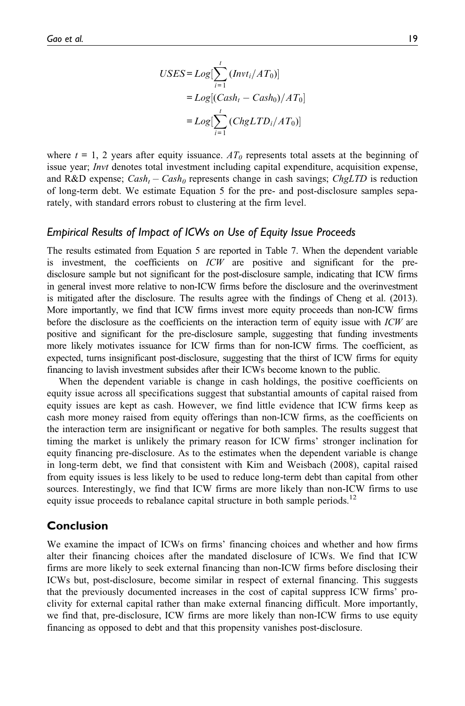$$
USES = Log[\sum_{i=1}^{t} (Invt_i/AT_0)]
$$
  
= Log[(Cash<sub>t</sub> - Cash<sub>0</sub>)/AT<sub>0</sub>]  
= Log[\sum\_{i=1}^{t} (ChgLTD\_i/AT\_0)]

where  $t = 1, 2$  years after equity issuance.  $AT_0$  represents total assets at the beginning of issue year; Invt denotes total investment including capital expenditure, acquisition expense, and R&D expense;  $Cash_t - Cash_0$  represents change in cash savings; ChgLTD is reduction of long-term debt. We estimate Equation 5 for the pre- and post-disclosure samples separately, with standard errors robust to clustering at the firm level.

#### Empirical Results of Impact of ICWs on Use of Equity Issue Proceeds

The results estimated from Equation 5 are reported in Table 7. When the dependent variable is investment, the coefficients on  $ICW$  are positive and significant for the predisclosure sample but not significant for the post-disclosure sample, indicating that ICW firms in general invest more relative to non-ICW firms before the disclosure and the overinvestment is mitigated after the disclosure. The results agree with the findings of Cheng et al. (2013). More importantly, we find that ICW firms invest more equity proceeds than non-ICW firms before the disclosure as the coefficients on the interaction term of equity issue with *ICW* are positive and significant for the pre-disclosure sample, suggesting that funding investments more likely motivates issuance for ICW firms than for non-ICW firms. The coefficient, as expected, turns insignificant post-disclosure, suggesting that the thirst of ICW firms for equity financing to lavish investment subsides after their ICWs become known to the public.

When the dependent variable is change in cash holdings, the positive coefficients on equity issue across all specifications suggest that substantial amounts of capital raised from equity issues are kept as cash. However, we find little evidence that ICW firms keep as cash more money raised from equity offerings than non-ICW firms, as the coefficients on the interaction term are insignificant or negative for both samples. The results suggest that timing the market is unlikely the primary reason for ICW firms' stronger inclination for equity financing pre-disclosure. As to the estimates when the dependent variable is change in long-term debt, we find that consistent with Kim and Weisbach (2008), capital raised from equity issues is less likely to be used to reduce long-term debt than capital from other sources. Interestingly, we find that ICW firms are more likely than non-ICW firms to use equity issue proceeds to rebalance capital structure in both sample periods.<sup>12</sup>

#### Conclusion

We examine the impact of ICWs on firms' financing choices and whether and how firms alter their financing choices after the mandated disclosure of ICWs. We find that ICW firms are more likely to seek external financing than non-ICW firms before disclosing their ICWs but, post-disclosure, become similar in respect of external financing. This suggests that the previously documented increases in the cost of capital suppress ICW firms' proclivity for external capital rather than make external financing difficult. More importantly, we find that, pre-disclosure, ICW firms are more likely than non-ICW firms to use equity financing as opposed to debt and that this propensity vanishes post-disclosure.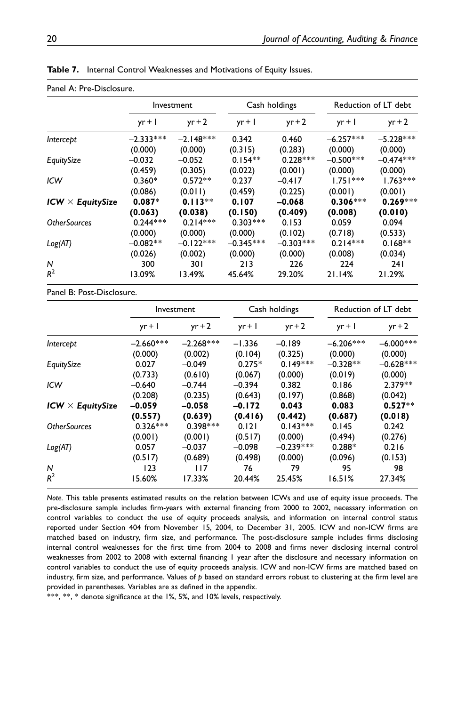| Panel A: Pre-Disclosure. |             |             |             |               |             |                      |  |
|--------------------------|-------------|-------------|-------------|---------------|-------------|----------------------|--|
|                          |             | Investment  |             | Cash holdings |             | Reduction of LT debt |  |
|                          | $yr + 1$    | $yr + 2$    | $yr + 1$    | $yr + 2$      | $yr + 1$    | $yr + 2$             |  |
| Intercept                | $-2.333***$ | $-2.148***$ | 0.342       | 0.460         | $-6.257***$ | $-5.228***$          |  |
|                          | (0.000)     | (0.000)     | (0.315)     | (0.283)       | (0.000)     | (0.000)              |  |
| EquitySize               | $-0.032$    | $-0.052$    | $0.154**$   | $0.228***$    | $-0.500***$ | $-0.474***$          |  |
|                          | (0.459)     | (0.305)     | (0.022)     | (0.001)       | (0.000)     | (0.000)              |  |
| ICW                      | $0.360*$    | $0.572**$   | 0.237       | $-0.417$      | $1.751***$  | $1.763***$           |  |
|                          | (0.086)     | (0.011)     | (0.459)     | (0.225)       | (0.001)     | (0.001)              |  |
| $ICW \times$ EquitySize  | $0.087*$    | $0.113**$   | 0.107       | $-0.068$      | $0.306***$  | $0.269***$           |  |
|                          | (0.063)     | (0.038)     | (0.150)     | (0.409)       | (0.008)     | (0.010)              |  |
| <b>OtherSources</b>      | $0.244***$  | $0.214***$  | $0.303***$  | 0.153         | 0.059       | 0.094                |  |
|                          | (0.000)     | (0.000)     | (0.000)     | (0.102)       | (0.718)     | (0.533)              |  |
| Log(AT)                  | $-0.082**$  | $-0.122***$ | $-0.345***$ | $-0.303***$   | $0.214***$  | $0.168**$            |  |
|                          | (0.026)     | (0.002)     | (0.000)     | (0.000)       | (0.008)     | (0.034)              |  |
| N                        | 300         | 30 I        | 213         | 226           | 224         | 241                  |  |
| $R^2$                    | 13.09%      | 13.49%      | 45.64%      | 29.20%        | 21.14%      | 21.29%               |  |

Table 7. Internal Control Weaknesses and Motivations of Equity Issues.

Panel B: Post-Disclosure.

|                         |             | Investment  |          | Cash holdings |             | Reduction of LT debt |  |
|-------------------------|-------------|-------------|----------|---------------|-------------|----------------------|--|
|                         | $yr + 1$    | $yr + 2$    | $yr + 1$ | $yr + 2$      | $yr + 1$    | $yr + 2$             |  |
| Intercept               | $-2.660***$ | $-2.268***$ | $-1.336$ | $-0.189$      | $-6.206***$ | $-6.000***$          |  |
|                         | (0.000)     | (0.002)     | (0.104)  | (0.325)       | (0.000)     | (0.000)              |  |
| EquitySize              | 0.027       | $-0.049$    | $0.275*$ | $0.149***$    | $-0.328**$  | $-0.628***$          |  |
|                         | (0.733)     | (0.610)     | (0.067)  | (0.000)       | (0.019)     | (0.000)              |  |
| ICW                     | $-0.640$    | $-0.744$    | $-0.394$ | 0.382         | 0.186       | $2.379**$            |  |
|                         | (0.208)     | (0.235)     | (0.643)  | (0.197)       | (0.868)     | (0.042)              |  |
| $ICW \times$ EquitySize | -0.059      | $-0.058$    | $-0.172$ | 0.043         | 0.083       | $0.527**$            |  |
|                         | (0.557)     | (0.639)     | (0.416)  | (0.442)       | (0.687)     | (0.018)              |  |
| <b>OtherSources</b>     | $0.326***$  | $0.398***$  | 0.121    | $0.143***$    | 0.145       | 0.242                |  |
|                         | (0.001)     | (0.001)     | (0.517)  | (0.000)       | (0.494)     | (0.276)              |  |
| Log(AT)                 | 0.057       | $-0.037$    | $-0.098$ | $-0.239***$   | $0.288*$    | 0.216                |  |
|                         | (0.517)     | (0.689)     | (0.498)  | (0.000)       | (0.096)     | (0.153)              |  |
| N                       | 123         | 117         | 76       | 79            | 95          | 98                   |  |
| $R^2$                   | 15.60%      | 17.33%      | 20.44%   | 25.45%        | 16.51%      | 27.34%               |  |

Note. This table presents estimated results on the relation between ICWs and use of equity issue proceeds. The pre-disclosure sample includes firm-years with external financing from 2000 to 2002, necessary information on control variables to conduct the use of equity proceeds analysis, and information on internal control status reported under Section 404 from November 15, 2004, to December 31, 2005. ICW and non-ICW firms are matched based on industry, firm size, and performance. The post-disclosure sample includes firms disclosing internal control weaknesses for the first time from 2004 to 2008 and firms never disclosing internal control weaknesses from 2002 to 2008 with external financing 1 year after the disclosure and necessary information on control variables to conduct the use of equity proceeds analysis. ICW and non-ICW firms are matched based on industry, firm size, and performance. Values of  $p$  based on standard errors robust to clustering at the firm level are provided in parentheses. Variables are as defined in the appendix.

\*\*\*, \*\*, \* denote significance at the 1%, 5%, and 10% levels, respectively.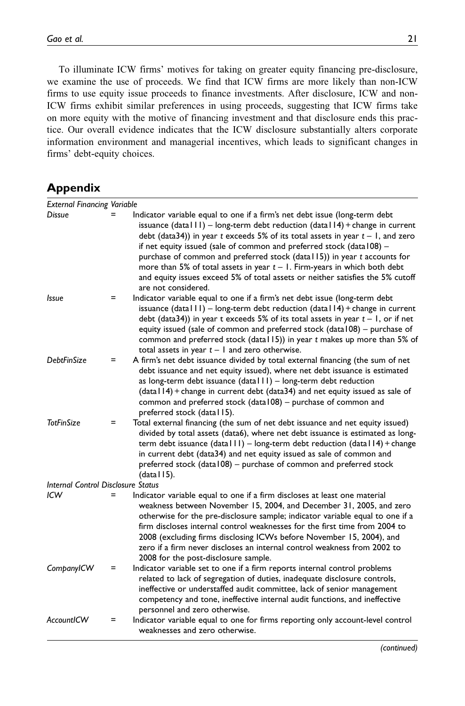To illuminate ICW firms' motives for taking on greater equity financing pre-disclosure, we examine the use of proceeds. We find that ICW firms are more likely than non-ICW firms to use equity issue proceeds to finance investments. After disclosure, ICW and non-ICW firms exhibit similar preferences in using proceeds, suggesting that ICW firms take on more equity with the motive of financing investment and that disclosure ends this practice. Our overall evidence indicates that the ICW disclosure substantially alters corporate information environment and managerial incentives, which leads to significant changes in firms' debt-equity choices.

## Appendix

| <b>External Financing Variable</b>        |     |                                                                                                                                                                                                                                                                                                                                                                                                                                                                                                                                                                                                       |
|-------------------------------------------|-----|-------------------------------------------------------------------------------------------------------------------------------------------------------------------------------------------------------------------------------------------------------------------------------------------------------------------------------------------------------------------------------------------------------------------------------------------------------------------------------------------------------------------------------------------------------------------------------------------------------|
| Dissue                                    | $=$ | Indicator variable equal to one if a firm's net debt issue (long-term debt<br>issuance $(data I )$ – long-term debt reduction $(data I4)$ + change in current<br>debt (data34)) in year t exceeds 5% of its total assets in year $t - 1$ , and zero<br>if net equity issued (sale of common and preferred stock (data $108$ ) -<br>purchase of common and preferred stock (datal 15)) in year t accounts for<br>more than 5% of total assets in year $t - 1$ . Firm-years in which both debt<br>and equity issues exceed 5% of total assets or neither satisfies the 5% cutoff<br>are not considered. |
| Issue                                     | Ξ   | Indicator variable equal to one if a firm's net debt issue (long-term debt<br>issuance (datall) - long-term debt reduction (datall4) + change in current<br>debt (data34)) in year t exceeds 5% of its total assets in year $t - 1$ , or if net<br>equity issued (sale of common and preferred stock (data 108) - purchase of<br>common and preferred stock (data II5)) in year t makes up more than 5% of<br>total assets in year $t - 1$ and zero otherwise.                                                                                                                                        |
| <b>DebtFinSize</b>                        | $=$ | A firm's net debt issuance divided by total external financing (the sum of net<br>debt issuance and net equity issued), where net debt issuance is estimated<br>as long-term debt issuance (datal II) - long-term debt reduction<br>(datal 14) + change in current debt (data34) and net equity issued as sale of<br>common and preferred stock (data 108) - purchase of common and<br>preferred stock (datal 15).                                                                                                                                                                                    |
| <b>TotFinSize</b>                         | Ξ   | Total external financing (the sum of net debt issuance and net equity issued)<br>divided by total assets (data6), where net debt issuance is estimated as long-<br>term debt issuance $(data I )$ – long-term debt reduction $(data I4)$ + change<br>in current debt (data34) and net equity issued as sale of common and<br>preferred stock (data108) - purchase of common and preferred stock<br>$(data115)$ .                                                                                                                                                                                      |
| <b>Internal Control Disclosure Status</b> |     |                                                                                                                                                                                                                                                                                                                                                                                                                                                                                                                                                                                                       |
| ICW                                       |     | Indicator variable equal to one if a firm discloses at least one material<br>weakness between November 15, 2004, and December 31, 2005, and zero<br>otherwise for the pre-disclosure sample; indicator variable equal to one if a<br>firm discloses internal control weaknesses for the first time from 2004 to<br>2008 (excluding firms disclosing ICWs before November 15, 2004), and<br>zero if a firm never discloses an internal control weakness from 2002 to<br>2008 for the post-disclosure sample.                                                                                           |
| CompanyICW                                |     | Indicator variable set to one if a firm reports internal control problems<br>related to lack of segregation of duties, inadequate disclosure controls,<br>ineffective or understaffed audit committee, lack of senior management<br>competency and tone, ineffective internal audit functions, and ineffective<br>personnel and zero otherwise.                                                                                                                                                                                                                                                       |
| AccountICW                                | Ξ   | Indicator variable equal to one for firms reporting only account-level control<br>weaknesses and zero otherwise.                                                                                                                                                                                                                                                                                                                                                                                                                                                                                      |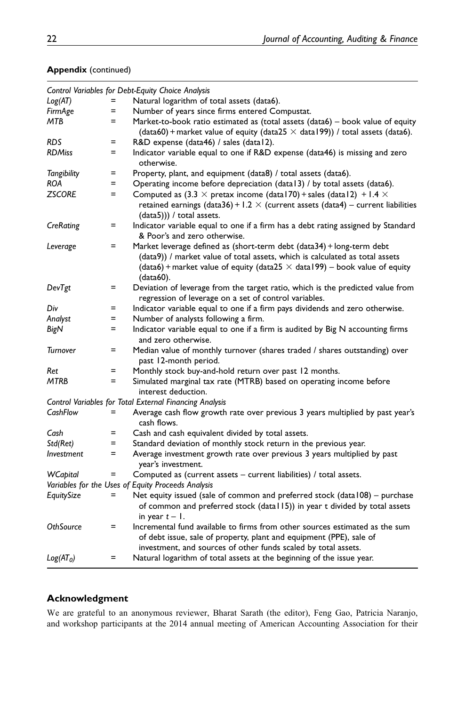|                       |          | Control Variables for Debt-Equity Choice Analysis                                                                                                                                                                                                         |
|-----------------------|----------|-----------------------------------------------------------------------------------------------------------------------------------------------------------------------------------------------------------------------------------------------------------|
| Log(AT)               | $=$      | Natural logarithm of total assets (data6).                                                                                                                                                                                                                |
| FirmAge               | Ξ.       | Number of years since firms entered Compustat.                                                                                                                                                                                                            |
| <b>MTB</b>            | $=$      | Market-to-book ratio estimated as (total assets (data6) - book value of equity<br>$(data60)$ + market value of equity (data25 $\times$ data199)) / total assets (data6).                                                                                  |
| <b>RDS</b>            | $=$      | R&D expense (data46) / sales (data12).                                                                                                                                                                                                                    |
| <b>RDMiss</b>         | $=$      | Indicator variable equal to one if R&D expense (data46) is missing and zero<br>otherwise.                                                                                                                                                                 |
| <b>Tangibility</b>    | $=$      | Property, plant, and equipment (data8) / total assets (data6).                                                                                                                                                                                            |
| ROA                   | $=$      | Operating income before depreciation (data13) / by total assets (data6).                                                                                                                                                                                  |
| <b>ZSCORE</b>         | $=$      | Computed as $(3.3 \times$ pretax income $(data170) + sales (data12) + 1.4 \times$<br>retained earnings (data36) + 1.2 $\times$ (current assets (data4) – current liabilities<br>(data5))) / total assets.                                                 |
| CreRating             | $=$      | Indicator variable equal to one if a firm has a debt rating assigned by Standard<br>& Poor's and zero otherwise.                                                                                                                                          |
| Leverage              | $=$      | Market leverage defined as (short-term debt (data34) + long-term debt<br>(data9)) / market value of total assets, which is calculated as total assets<br>$(data6)$ + market value of equity (data25 $\times$ data199) – book value of equity<br>(data60). |
| DevTgt                | $\equiv$ | Deviation of leverage from the target ratio, which is the predicted value from<br>regression of leverage on a set of control variables.                                                                                                                   |
| Div                   | $=$      | Indicator variable equal to one if a firm pays dividends and zero otherwise.                                                                                                                                                                              |
| Analyst               | $=$      | Number of analysts following a firm.                                                                                                                                                                                                                      |
| BigN                  | $=$      | Indicator variable equal to one if a firm is audited by Big N accounting firms<br>and zero otherwise.                                                                                                                                                     |
| <b>Turnover</b>       | Ξ        | Median value of monthly turnover (shares traded / shares outstanding) over<br>past 12-month period.                                                                                                                                                       |
| Ret                   | $=$      | Monthly stock buy-and-hold return over past 12 months.                                                                                                                                                                                                    |
| <b>MTRB</b>           | $=$      | Simulated marginal tax rate (MTRB) based on operating income before<br>interest deduction.                                                                                                                                                                |
|                       |          | <b>Control Variables for Total External Financing Analysis</b>                                                                                                                                                                                            |
| CashFlow              | $=$      | Average cash flow growth rate over previous 3 years multiplied by past year's<br>cash flows.                                                                                                                                                              |
| Cash                  | $=$      | Cash and cash equivalent divided by total assets.                                                                                                                                                                                                         |
| Std(Ret)              | $=$      | Standard deviation of monthly stock return in the previous year.                                                                                                                                                                                          |
| Investment            | $=$      | Average investment growth rate over previous 3 years multiplied by past<br>year's investment.                                                                                                                                                             |
| <b>WCapital</b>       | =        | Computed as (current assets - current liabilities) / total assets.                                                                                                                                                                                        |
|                       |          | Variables for the Uses of Equity Proceeds Analysis                                                                                                                                                                                                        |
| EquitySize            | $=$      | Net equity issued (sale of common and preferred stock (data 108) - purchase<br>of common and preferred stock (datal 15)) in year t divided by total assets<br>in year $t - 1$ .                                                                           |
| <b>OthSource</b>      | Ξ.       | Incremental fund available to firms from other sources estimated as the sum<br>of debt issue, sale of property, plant and equipment (PPE), sale of<br>investment, and sources of other funds scaled by total assets.                                      |
| Log(AT <sub>0</sub> ) | $=$      | Natural logarithm of total assets at the beginning of the issue year.                                                                                                                                                                                     |
|                       |          |                                                                                                                                                                                                                                                           |

#### Appendix (continued)

#### Acknowledgment

We are grateful to an anonymous reviewer, Bharat Sarath (the editor), Feng Gao, Patricia Naranjo, and workshop participants at the 2014 annual meeting of American Accounting Association for their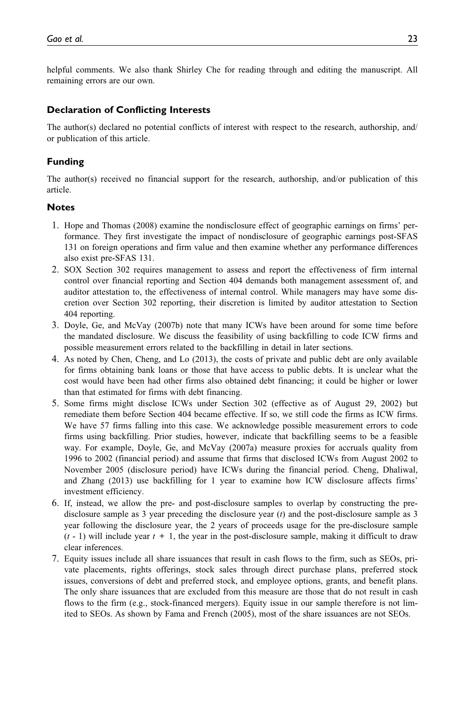helpful comments. We also thank Shirley Che for reading through and editing the manuscript. All remaining errors are our own.

#### Declaration of Conflicting Interests

The author(s) declared no potential conflicts of interest with respect to the research, authorship, and/ or publication of this article.

#### Funding

The author(s) received no financial support for the research, authorship, and/or publication of this article.

#### Notes

- 1. Hope and Thomas (2008) examine the nondisclosure effect of geographic earnings on firms' performance. They first investigate the impact of nondisclosure of geographic earnings post-SFAS 131 on foreign operations and firm value and then examine whether any performance differences also exist pre-SFAS 131.
- 2. SOX Section 302 requires management to assess and report the effectiveness of firm internal control over financial reporting and Section 404 demands both management assessment of, and auditor attestation to, the effectiveness of internal control. While managers may have some discretion over Section 302 reporting, their discretion is limited by auditor attestation to Section 404 reporting.
- 3. Doyle, Ge, and McVay (2007b) note that many ICWs have been around for some time before the mandated disclosure. We discuss the feasibility of using backfilling to code ICW firms and possible measurement errors related to the backfilling in detail in later sections.
- 4. As noted by Chen, Cheng, and Lo (2013), the costs of private and public debt are only available for firms obtaining bank loans or those that have access to public debts. It is unclear what the cost would have been had other firms also obtained debt financing; it could be higher or lower than that estimated for firms with debt financing.
- 5. Some firms might disclose ICWs under Section 302 (effective as of August 29, 2002) but remediate them before Section 404 became effective. If so, we still code the firms as ICW firms. We have 57 firms falling into this case. We acknowledge possible measurement errors to code firms using backfilling. Prior studies, however, indicate that backfilling seems to be a feasible way. For example, Doyle, Ge, and McVay (2007a) measure proxies for accruals quality from 1996 to 2002 (financial period) and assume that firms that disclosed ICWs from August 2002 to November 2005 (disclosure period) have ICWs during the financial period. Cheng, Dhaliwal, and Zhang (2013) use backfilling for 1 year to examine how ICW disclosure affects firms' investment efficiency.
- 6. If, instead, we allow the pre- and post-disclosure samples to overlap by constructing the predisclosure sample as 3 year preceding the disclosure year  $(t)$  and the post-disclosure sample as 3 year following the disclosure year, the 2 years of proceeds usage for the pre-disclosure sample  $(t - 1)$  will include year  $t + 1$ , the year in the post-disclosure sample, making it difficult to draw clear inferences.
- 7. Equity issues include all share issuances that result in cash flows to the firm, such as SEOs, private placements, rights offerings, stock sales through direct purchase plans, preferred stock issues, conversions of debt and preferred stock, and employee options, grants, and benefit plans. The only share issuances that are excluded from this measure are those that do not result in cash flows to the firm (e.g., stock-financed mergers). Equity issue in our sample therefore is not limited to SEOs. As shown by Fama and French (2005), most of the share issuances are not SEOs.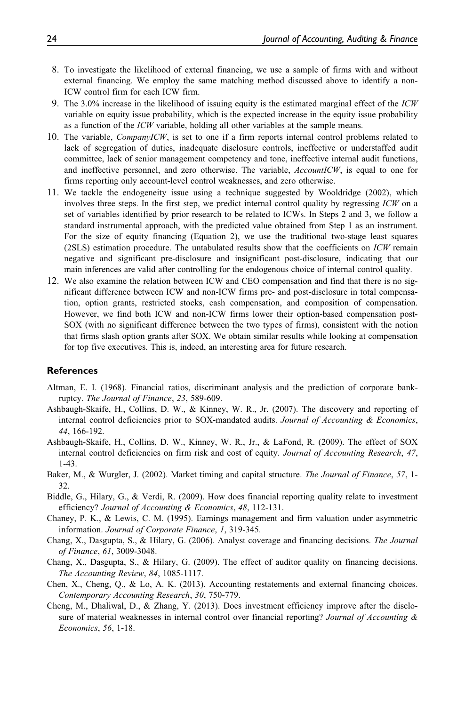- 8. To investigate the likelihood of external financing, we use a sample of firms with and without external financing. We employ the same matching method discussed above to identify a non-ICW control firm for each ICW firm.
- 9. The 3.0% increase in the likelihood of issuing equity is the estimated marginal effect of the  $ICW$ variable on equity issue probability, which is the expected increase in the equity issue probability as a function of the ICW variable, holding all other variables at the sample means.
- 10. The variable,  $CompanyICW$ , is set to one if a firm reports internal control problems related to lack of segregation of duties, inadequate disclosure controls, ineffective or understaffed audit committee, lack of senior management competency and tone, ineffective internal audit functions, and ineffective personnel, and zero otherwise. The variable, AccountICW, is equal to one for firms reporting only account-level control weaknesses, and zero otherwise.
- 11. We tackle the endogeneity issue using a technique suggested by Wooldridge (2002), which involves three steps. In the first step, we predict internal control quality by regressing ICW on a set of variables identified by prior research to be related to ICWs. In Steps 2 and 3, we follow a standard instrumental approach, with the predicted value obtained from Step 1 as an instrument. For the size of equity financing (Equation 2), we use the traditional two-stage least squares (2SLS) estimation procedure. The untabulated results show that the coefficients on  $ICW$  remain negative and significant pre-disclosure and insignificant post-disclosure, indicating that our main inferences are valid after controlling for the endogenous choice of internal control quality.
- 12. We also examine the relation between ICW and CEO compensation and find that there is no significant difference between ICW and non-ICW firms pre- and post-disclosure in total compensation, option grants, restricted stocks, cash compensation, and composition of compensation. However, we find both ICW and non-ICW firms lower their option-based compensation post-SOX (with no significant difference between the two types of firms), consistent with the notion that firms slash option grants after SOX. We obtain similar results while looking at compensation for top five executives. This is, indeed, an interesting area for future research.

#### **References**

- Altman, E. I. (1968). Financial ratios, discriminant analysis and the prediction of corporate bankruptcy. The Journal of Finance, 23, 589-609.
- Ashbaugh-Skaife, H., Collins, D. W., & Kinney, W. R., Jr. (2007). The discovery and reporting of internal control deficiencies prior to SOX-mandated audits. Journal of Accounting  $\&$  Economics, 44, 166-192.
- Ashbaugh-Skaife, H., Collins, D. W., Kinney, W. R., Jr., & LaFond, R. (2009). The effect of SOX internal control deficiencies on firm risk and cost of equity. Journal of Accounting Research, 47, 1-43.
- Baker, M., & Wurgler, J. (2002). Market timing and capital structure. The Journal of Finance, 57, 1- 32.
- Biddle, G., Hilary, G., & Verdi, R. (2009). How does financial reporting quality relate to investment efficiency? Journal of Accounting & Economics, 48, 112-131.
- Chaney, P. K., & Lewis, C. M. (1995). Earnings management and firm valuation under asymmetric information. Journal of Corporate Finance, 1, 319-345.
- Chang, X., Dasgupta, S., & Hilary, G. (2006). Analyst coverage and financing decisions. The Journal of Finance, 61, 3009-3048.
- Chang, X., Dasgupta, S., & Hilary, G. (2009). The effect of auditor quality on financing decisions. The Accounting Review, 84, 1085-1117.
- Chen, X., Cheng, Q., & Lo, A. K. (2013). Accounting restatements and external financing choices. Contemporary Accounting Research, 30, 750-779.
- Cheng, M., Dhaliwal, D., & Zhang, Y. (2013). Does investment efficiency improve after the disclosure of material weaknesses in internal control over financial reporting? Journal of Accounting & Economics, 56, 1-18.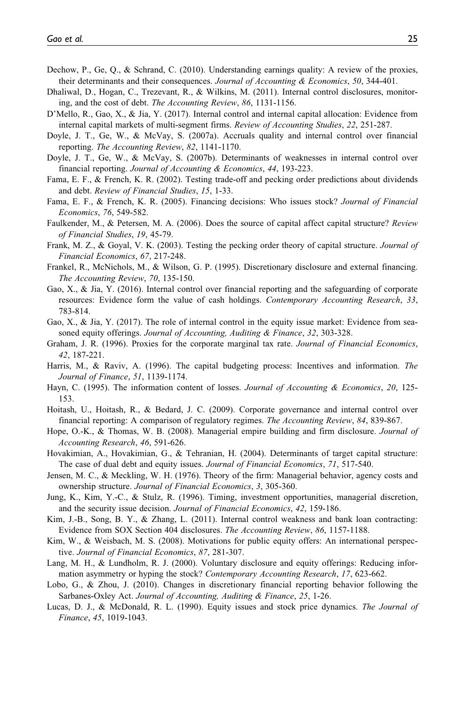- Dechow, P., Ge, Q., & Schrand, C. (2010). Understanding earnings quality: A review of the proxies, their determinants and their consequences. Journal of Accounting & Economics, 50, 344-401.
- Dhaliwal, D., Hogan, C., Trezevant, R., & Wilkins, M. (2011). Internal control disclosures, monitoring, and the cost of debt. The Accounting Review, 86, 1131-1156.
- D'Mello, R., Gao, X., & Jia, Y. (2017). Internal control and internal capital allocation: Evidence from internal capital markets of multi-segment firms. Review of Accounting Studies, 22, 251-287.
- Doyle, J. T., Ge, W., & McVay, S. (2007a). Accruals quality and internal control over financial reporting. The Accounting Review, 82, 1141-1170.
- Doyle, J. T., Ge, W., & McVay, S. (2007b). Determinants of weaknesses in internal control over financial reporting. Journal of Accounting & Economics, 44, 193-223.
- Fama, E. F., & French, K. R. (2002). Testing trade-off and pecking order predictions about dividends and debt. Review of Financial Studies, 15, 1-33.
- Fama, E. F., & French, K. R. (2005). Financing decisions: Who issues stock? Journal of Financial Economics, 76, 549-582.
- Faulkender, M., & Petersen, M. A. (2006). Does the source of capital affect capital structure? Review of Financial Studies, 19, 45-79.
- Frank, M. Z., & Goyal, V. K. (2003). Testing the pecking order theory of capital structure. Journal of Financial Economics, 67, 217-248.
- Frankel, R., McNichols, M., & Wilson, G. P. (1995). Discretionary disclosure and external financing. The Accounting Review, 70, 135-150.
- Gao, X., & Jia, Y. (2016). Internal control over financial reporting and the safeguarding of corporate resources: Evidence form the value of cash holdings. Contemporary Accounting Research, 33, 783-814.
- Gao, X., & Jia, Y. (2017). The role of internal control in the equity issue market: Evidence from seasoned equity offerings. Journal of Accounting, Auditing & Finance, 32, 303-328.
- Graham, J. R. (1996). Proxies for the corporate marginal tax rate. Journal of Financial Economics, 42, 187-221.
- Harris, M., & Raviv, A. (1996). The capital budgeting process: Incentives and information. The Journal of Finance, 51, 1139-1174.
- Hayn, C. (1995). The information content of losses. Journal of Accounting & Economics, 20, 125-153.
- Hoitash, U., Hoitash, R., & Bedard, J. C. (2009). Corporate governance and internal control over financial reporting: A comparison of regulatory regimes. The Accounting Review, 84, 839-867.
- Hope, O.-K., & Thomas, W. B. (2008). Managerial empire building and firm disclosure. Journal of Accounting Research, 46, 591-626.
- Hovakimian, A., Hovakimian, G., & Tehranian, H. (2004). Determinants of target capital structure: The case of dual debt and equity issues. *Journal of Financial Economics*, 71, 517-540.
- Jensen, M. C., & Meckling, W. H. (1976). Theory of the firm: Managerial behavior, agency costs and ownership structure. Journal of Financial Economics, 3, 305-360.
- Jung, K., Kim, Y.-C., & Stulz, R. (1996). Timing, investment opportunities, managerial discretion, and the security issue decision. Journal of Financial Economics, 42, 159-186.
- Kim, J.-B., Song, B. Y., & Zhang, L. (2011). Internal control weakness and bank loan contracting: Evidence from SOX Section 404 disclosures. The Accounting Review, 86, 1157-1188.
- Kim, W., & Weisbach, M. S. (2008). Motivations for public equity offers: An international perspective. Journal of Financial Economics, 87, 281-307.
- Lang, M. H., & Lundholm, R. J. (2000). Voluntary disclosure and equity offerings: Reducing information asymmetry or hyping the stock? Contemporary Accounting Research, 17, 623-662.
- Lobo, G., & Zhou, J. (2010). Changes in discretionary financial reporting behavior following the Sarbanes-Oxley Act. Journal of Accounting, Auditing & Finance, 25, 1-26.
- Lucas, D. J., & McDonald, R. L. (1990). Equity issues and stock price dynamics. The Journal of Finance, 45, 1019-1043.